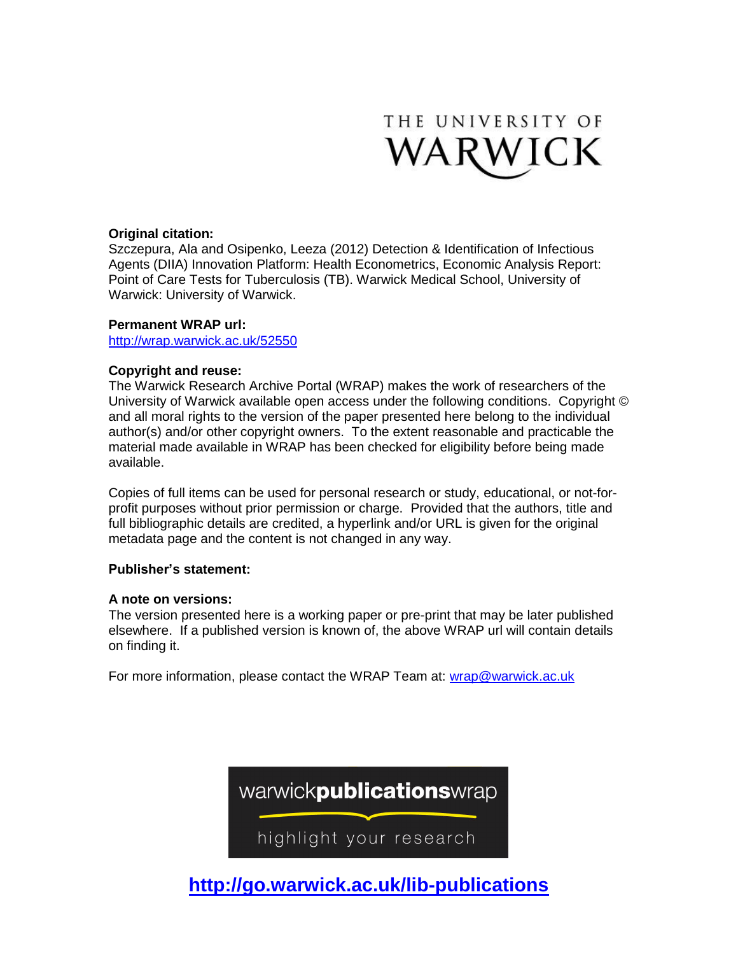

#### **Original citation:**

Szczepura, Ala and Osipenko, Leeza (2012) Detection & Identification of Infectious Agents (DIIA) Innovation Platform: Health Econometrics, Economic Analysis Report: Point of Care Tests for Tuberculosis (TB). Warwick Medical School, University of Warwick: University of Warwick.

#### **Permanent WRAP url:**

[http://wrap.warwick.ac.uk/52550](http://wrap.warwick.ac.uk/52463)

#### **Copyright and reuse:**

The Warwick Research Archive Portal (WRAP) makes the work of researchers of the University of Warwick available open access under the following conditions. Copyright © and all moral rights to the version of the paper presented here belong to the individual author(s) and/or other copyright owners. To the extent reasonable and practicable the material made available in WRAP has been checked for eligibility before being made available.

Copies of full items can be used for personal research or study, educational, or not-forprofit purposes without prior permission or charge. Provided that the authors, title and full bibliographic details are credited, a hyperlink and/or URL is given for the original metadata page and the content is not changed in any way.

#### **Publisher's statement:**

#### **A note on versions:**

The version presented here is a working paper or pre-print that may be later published elsewhere. If a published version is known of, the above WRAP url will contain details on finding it.

For more information, please contact the WRAP Team at: [wrap@warwick.ac.uk](mailto:wrap@warwick.ac.uk)



**http://go.warwick.ac.uk/lib-publications**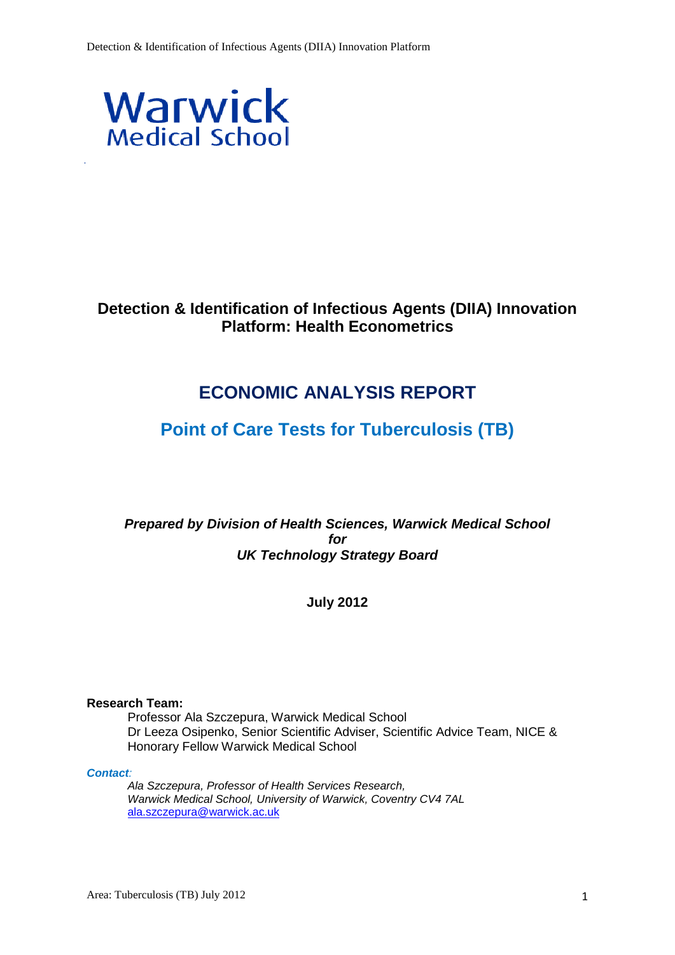

## **Detection & Identification of Infectious Agents (DIIA) Innovation Platform: Health Econometrics**

# **ECONOMIC ANALYSIS REPORT**

## **Point of Care Tests for Tuberculosis (TB)**

*Prepared by Division of Health Sciences, Warwick Medical School for UK Technology Strategy Board*

## **July 2012**

## **Research Team:**

Professor Ala Szczepura, Warwick Medical School Dr Leeza Osipenko, Senior Scientific Adviser, Scientific Advice Team, NICE & Honorary Fellow Warwick Medical School

#### *Contact:*

*Ala Szczepura, Professor of Health Services Research, Warwick Medical School, University of Warwick, Coventry CV4 7AL* [ala.szczepura@warwick.ac.uk](mailto:ala.szczepura@warwick.ac.uk)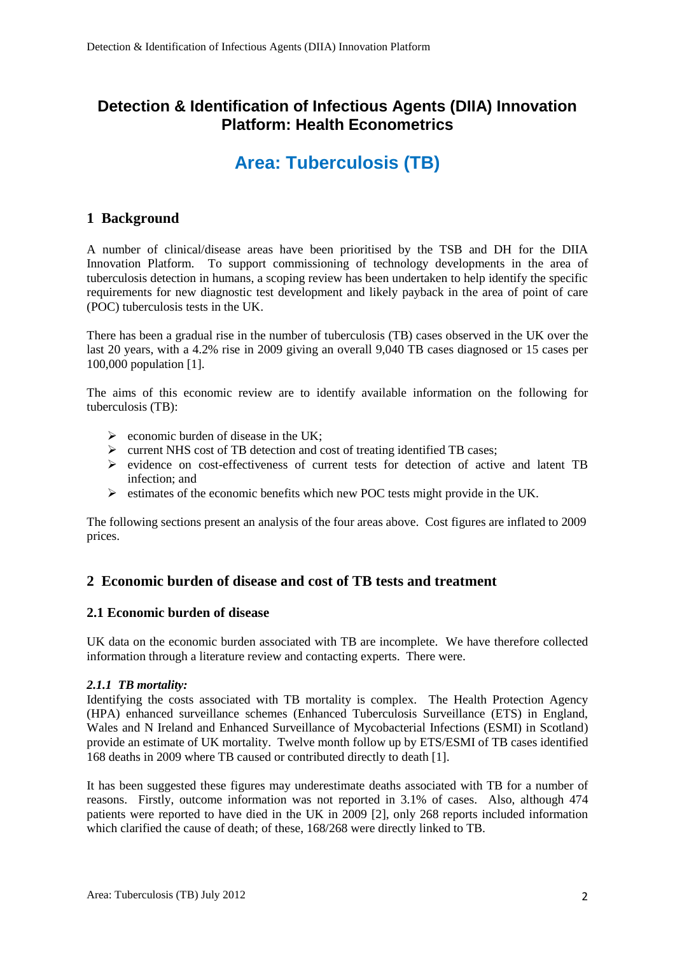## **Detection & Identification of Infectious Agents (DIIA) Innovation Platform: Health Econometrics**

# **Area: Tuberculosis (TB)**

## **1 Background**

A number of clinical/disease areas have been prioritised by the TSB and DH for the DIIA Innovation Platform. To support commissioning of technology developments in the area of tuberculosis detection in humans, a scoping review has been undertaken to help identify the specific requirements for new diagnostic test development and likely payback in the area of point of care (POC) tuberculosis tests in the UK.

There has been a gradual rise in the number of tuberculosis (TB) cases observed in the UK over the last 20 years, with a 4.2% rise in 2009 giving an overall 9,040 TB cases diagnosed or 15 cases per 100,000 population [\[1\]](#page-25-0).

The aims of this economic review are to identify available information on the following for tuberculosis (TB):

- $\triangleright$  economic burden of disease in the UK;
- current NHS cost of TB detection and cost of treating identified TB cases;
- $\triangleright$  evidence on cost-effectiveness of current tests for detection of active and latent TB infection; and
- $\triangleright$  estimates of the economic benefits which new POC tests might provide in the UK.

The following sections present an analysis of the four areas above. Cost figures are inflated to 2009 prices.

## **2 Economic burden of disease and cost of TB tests and treatment**

## **2.1 Economic burden of disease**

UK data on the economic burden associated with TB are incomplete. We have therefore collected information through a literature review and contacting experts. There were.

## *2.1.1 TB mortality:*

Identifying the costs associated with TB mortality is complex. The Health Protection Agency (HPA) enhanced surveillance schemes (Enhanced Tuberculosis Surveillance (ETS) in England, Wales and N Ireland and Enhanced Surveillance of Mycobacterial Infections (ESMI) in Scotland) provide an estimate of UK mortality. Twelve month follow up by ETS/ESMI of TB cases identified 168 deaths in 2009 where TB caused or contributed directly to death [\[1\]](#page-25-0).

It has been suggested these figures may underestimate deaths associated with TB for a number of reasons. Firstly, outcome information was not reported in 3.1% of cases. Also, although 474 patients were reported to have died in the UK in 2009 [\[2\]](#page-25-1), only 268 reports included information which clarified the cause of death; of these,  $168/268$  were directly linked to TB.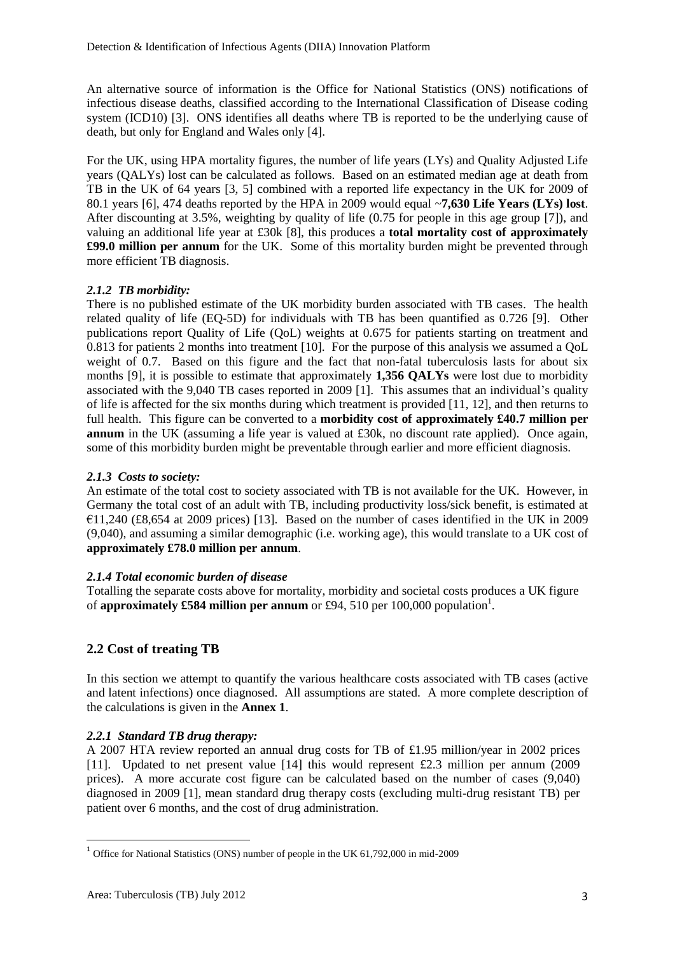An alternative source of information is the Office for National Statistics (ONS) notifications of infectious disease deaths, classified according to the International Classification of Disease coding system (ICD10) [\[3\]](#page-25-2). ONS identifies all deaths where TB is reported to be the underlying cause of death, but only for England and Wales only [\[4\]](#page-25-3).

For the UK, using HPA mortality figures, the number of life years (LYs) and Quality Adjusted Life years (QALYs) lost can be calculated as follows. Based on an estimated median age at death from TB in the UK of 64 years [\[3,](#page-25-2) [5\]](#page-25-4) combined with a reported life expectancy in the UK for 2009 of 80.1 years [\[6\]](#page-25-5), 474 deaths reported by the HPA in 2009 would equal ~**7,630 Life Years (LYs) lost**. After discounting at 3.5%, weighting by quality of life (0.75 for people in this age group [\[7\]](#page-25-6)), and valuing an additional life year at £30k [\[8\]](#page-25-7), this produces a **total mortality cost of approximately £99.0 million per annum** for the UK. Some of this mortality burden might be prevented through more efficient TB diagnosis.

## *2.1.2 TB morbidity:*

There is no published estimate of the UK morbidity burden associated with TB cases. The health related quality of life (EQ-5D) for individuals with TB has been quantified as 0.726 [\[9\]](#page-25-8). Other publications report Quality of Life (QoL) weights at 0.675 for patients starting on treatment and 0.813 for patients 2 months into treatment [\[10\]](#page-25-9). For the purpose of this analysis we assumed a QoL weight of 0.7. Based on this figure and the fact that non-fatal tuberculosis lasts for about six months [\[9\]](#page-25-8), it is possible to estimate that approximately **1,356 QALYs** were lost due to morbidity associated with the 9,040 TB cases reported in 2009 [\[1\]](#page-25-0). This assumes that an individual's quality of life is affected for the six months during which treatment is provided [\[11,](#page-25-10) [12\]](#page-25-11), and then returns to full health. This figure can be converted to a **morbidity cost of approximately £40.7 million per annum** in the UK (assuming a life year is valued at £30k, no discount rate applied). Once again, some of this morbidity burden might be preventable through earlier and more efficient diagnosis.

## *2.1.3 Costs to society:*

An estimate of the total cost to society associated with TB is not available for the UK. However, in Germany the total cost of an adult with TB, including productivity loss/sick benefit, is estimated at  $E11,240$  (£8,654 at 2009 prices) [\[13\]](#page-25-12). Based on the number of cases identified in the UK in 2009 (9,040), and assuming a similar demographic (i.e. working age), this would translate to a UK cost of **approximately £78.0 million per annum**.

## *2.1.4 Total economic burden of disease*

Totalling the separate costs above for mortality, morbidity and societal costs produces a UK figure of **approximately £584 million per annum** or £94, 510 per 100,000 population<sup>1</sup>.

## **2.2 Cost of treating TB**

In this section we attempt to quantify the various healthcare costs associated with TB cases (active and latent infections) once diagnosed. All assumptions are stated. A more complete description of the calculations is given in the **Annex 1**.

## *2.2.1 Standard TB drug therapy:*

A 2007 HTA review reported an annual drug costs for TB of £1.95 million/year in 2002 prices [\[11\]](#page-25-10). Updated to net present value [\[14\]](#page-25-13) this would represent £2.3 million per annum (2009) prices). A more accurate cost figure can be calculated based on the number of cases (9,040) diagnosed in 2009 [\[1\]](#page-25-0), mean standard drug therapy costs (excluding multi-drug resistant TB) per patient over 6 months, and the cost of drug administration.

 $\overline{a}$ 

<sup>&</sup>lt;sup>1</sup> Office for National Statistics (ONS) number of people in the UK 61,792,000 in mid-2009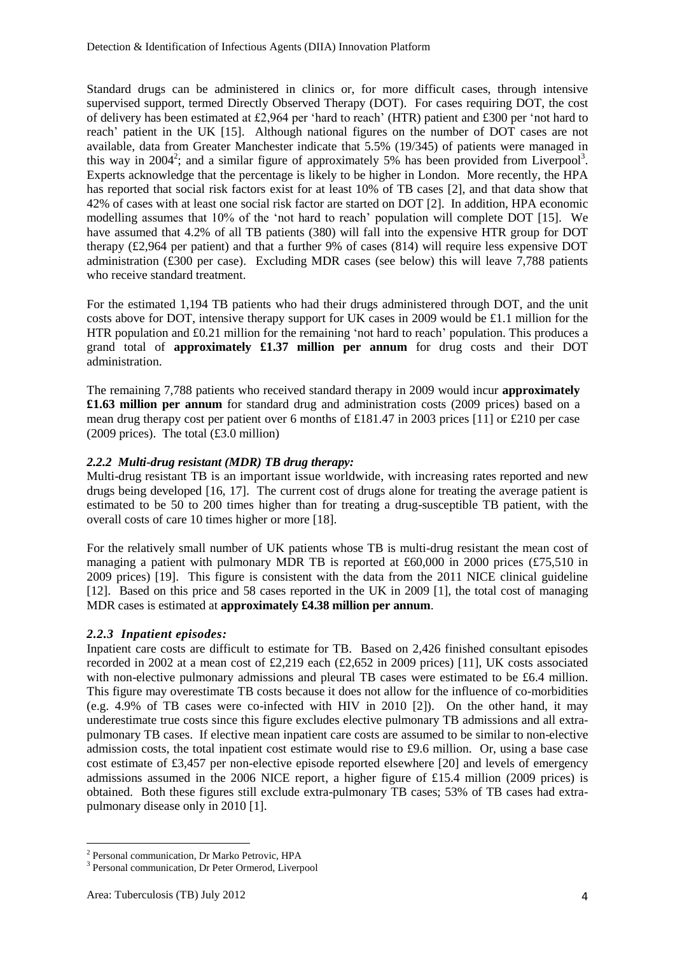Standard drugs can be administered in clinics or, for more difficult cases, through intensive supervised support, termed Directly Observed Therapy (DOT). For cases requiring DOT, the cost of delivery has been estimated at £2,964 per 'hard to reach' (HTR) patient and £300 per 'not hard to reach' patient in the UK [\[15\]](#page-25-14). Although national figures on the number of DOT cases are not available, data from Greater Manchester indicate that 5.5% (19/345) of patients were managed in this way in 2004<sup>2</sup>; and a similar figure of approximately 5% has been provided from Liverpool<sup>3</sup>. Experts acknowledge that the percentage is likely to be higher in London. More recently, the HPA has reported that social risk factors exist for at least 10% of TB cases [\[2\]](#page-25-1), and that data show that 42% of cases with at least one social risk factor are started on DOT [\[2\]](#page-25-1). In addition, HPA economic modelling assumes that 10% of the 'not hard to reach' population will complete DOT [\[15\]](#page-25-14). We have assumed that 4.2% of all TB patients (380) will fall into the expensive HTR group for DOT therapy (£2,964 per patient) and that a further 9% of cases (814) will require less expensive DOT administration (£300 per case). Excluding MDR cases (see below) this will leave 7,788 patients who receive standard treatment.

For the estimated 1,194 TB patients who had their drugs administered through DOT, and the unit costs above for DOT, intensive therapy support for UK cases in 2009 would be £1.1 million for the HTR population and £0.21 million for the remaining 'not hard to reach' population. This produces a grand total of **approximately £1.37 million per annum** for drug costs and their DOT administration.

The remaining 7,788 patients who received standard therapy in 2009 would incur **approximately £1.63 million per annum** for standard drug and administration costs (2009 prices) based on a mean drug therapy cost per patient over 6 months of £181.47 in 2003 prices [\[11\]](#page-25-10) or £210 per case (2009 prices). The total  $(\text{\pounds}3.0 \text{ million})$ 

#### *2.2.2 Multi-drug resistant (MDR) TB drug therapy:*

Multi-drug resistant TB is an important issue worldwide, with increasing rates reported and new drugs being developed [\[16,](#page-25-15) [17\]](#page-25-16). The current cost of drugs alone for treating the average patient is estimated to be 50 to 200 times higher than for treating a drug-susceptible TB patient, with the overall costs of care 10 times higher or more [\[18\]](#page-25-17).

For the relatively small number of UK patients whose TB is multi-drug resistant the mean cost of managing a patient with pulmonary MDR TB is reported at £60,000 in 2000 prices (£75,510 in 2009 prices) [\[19\]](#page-25-18). This figure is consistent with the data from the 2011 NICE clinical guideline [\[12\]](#page-25-11). Based on this price and 58 cases reported in the UK in 2009 [\[1\]](#page-25-0), the total cost of managing MDR cases is estimated at **approximately £4.38 million per annum**.

#### *2.2.3 Inpatient episodes:*

Inpatient care costs are difficult to estimate for TB. Based on 2,426 finished consultant episodes recorded in 2002 at a mean cost of £2,219 each (£2,652 in 2009 prices) [\[11\]](#page-25-10), UK costs associated with non-elective pulmonary admissions and pleural TB cases were estimated to be £6.4 million. This figure may overestimate TB costs because it does not allow for the influence of co-morbidities (e.g. 4.9% of TB cases were co-infected with HIV in 2010 [\[2\]](#page-25-1)). On the other hand, it may underestimate true costs since this figure excludes elective pulmonary TB admissions and all extrapulmonary TB cases. If elective mean inpatient care costs are assumed to be similar to non-elective admission costs, the total inpatient cost estimate would rise to  $\text{\pounds}9.6$  million. Or, using a base case cost estimate of £3,457 per non-elective episode reported elsewhere [\[20\]](#page-25-19) and levels of emergency admissions assumed in the 2006 NICE report, a higher figure of £15.4 million (2009 prices) is obtained. Both these figures still exclude extra-pulmonary TB cases; 53% of TB cases had extrapulmonary disease only in 2010 [\[1\]](#page-25-0).

 $\overline{a}$ 2 Personal communication, Dr Marko Petrovic, HPA

<sup>&</sup>lt;sup>3</sup> Personal communication, Dr Peter Ormerod, Liverpool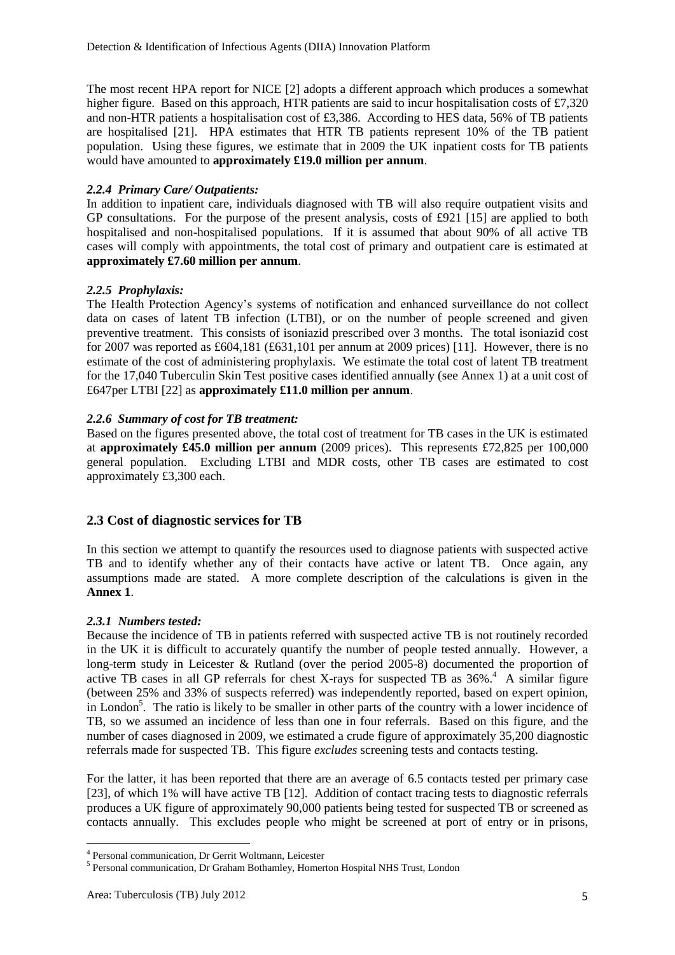The most recent HPA report for NICE [\[2\]](#page-25-1) adopts a different approach which produces a somewhat higher figure. Based on this approach, HTR patients are said to incur hospitalisation costs of £7,320 and non-HTR patients a hospitalisation cost of £3,386. According to HES data, 56% of TB patients are hospitalised [\[21\]](#page-26-0). HPA estimates that HTR TB patients represent 10% of the TB patient population. Using these figures, we estimate that in 2009 the UK inpatient costs for TB patients would have amounted to **approximately £19.0 million per annum**.

## *2.2.4 Primary Care/ Outpatients:*

In addition to inpatient care, individuals diagnosed with TB will also require outpatient visits and GP consultations. For the purpose of the present analysis, costs of £921 [\[15\]](#page-25-14) are applied to both hospitalised and non-hospitalised populations. If it is assumed that about 90% of all active TB cases will comply with appointments, the total cost of primary and outpatient care is estimated at **approximately £7.60 million per annum**.

## *2.2.5 Prophylaxis:*

The Health Protection Agency's systems of notification and enhanced surveillance do not collect data on cases of latent TB infection (LTBI), or on the number of people screened and given preventive treatment. This consists of isoniazid prescribed over 3 months. The total isoniazid cost for 2007 was reported as £604,181 (£631,101 per annum at 2009 prices) [\[11\]](#page-25-10). However, there is no estimate of the cost of administering prophylaxis. We estimate the total cost of latent TB treatment for the 17,040 Tuberculin Skin Test positive cases identified annually (see Annex 1) at a unit cost of £647per LTBI [\[22\]](#page-26-1) as **approximately £11.0 million per annum**.

## *2.2.6 Summary of cost for TB treatment:*

Based on the figures presented above, the total cost of treatment for TB cases in the UK is estimated at **approximately £45.0 million per annum** (2009 prices). This represents £72,825 per 100,000 general population. Excluding LTBI and MDR costs, other TB cases are estimated to cost approximately £3,300 each.

## **2.3 Cost of diagnostic services for TB**

In this section we attempt to quantify the resources used to diagnose patients with suspected active TB and to identify whether any of their contacts have active or latent TB. Once again, any assumptions made are stated. A more complete description of the calculations is given in the **Annex 1**.

## *2.3.1 Numbers tested:*

Because the incidence of TB in patients referred with suspected active TB is not routinely recorded in the UK it is difficult to accurately quantify the number of people tested annually. However, a long-term study in Leicester & Rutland (over the period 2005-8) documented the proportion of active TB cases in all GP referrals for chest X-rays for suspected TB as 36%.<sup>4</sup> A similar figure (between 25% and 33% of suspects referred) was independently reported, based on expert opinion, in London<sup>5</sup>. The ratio is likely to be smaller in other parts of the country with a lower incidence of TB, so we assumed an incidence of less than one in four referrals. Based on this figure, and the number of cases diagnosed in 2009, we estimated a crude figure of approximately 35,200 diagnostic referrals made for suspected TB. This figure *excludes* screening tests and contacts testing.

For the latter, it has been reported that there are an average of 6.5 contacts tested per primary case [\[23\]](#page-26-2), of which 1% will have active TB [\[12\]](#page-25-11). Addition of contact tracing tests to diagnostic referrals produces a UK figure of approximately 90,000 patients being tested for suspected TB or screened as contacts annually. This excludes people who might be screened at port of entry or in prisons,

 $\overline{a}$ 4 Personal communication, Dr Gerrit Woltmann, Leicester

<sup>&</sup>lt;sup>5</sup> Personal communication, Dr Graham Bothamley, Homerton Hospital NHS Trust, London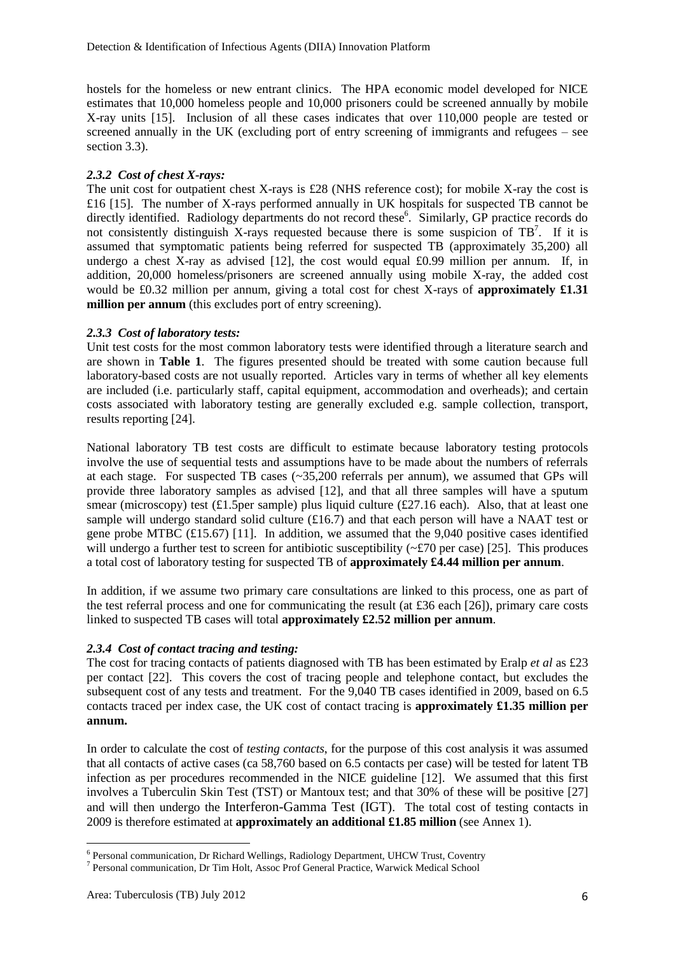hostels for the homeless or new entrant clinics. The HPA economic model developed for NICE estimates that 10,000 homeless people and 10,000 prisoners could be screened annually by mobile X-ray units [\[15\]](#page-25-14). Inclusion of all these cases indicates that over 110,000 people are tested or screened annually in the UK (excluding port of entry screening of immigrants and refugees – see section 3.3).

#### *2.3.2 Cost of chest X-rays:*

The unit cost for outpatient chest X-rays is £28 (NHS reference cost); for mobile X-ray the cost is £16 [\[15\]](#page-25-14). The number of X-rays performed annually in UK hospitals for suspected TB cannot be directly identified. Radiology departments do not record these<sup>6</sup>. Similarly, GP practice records do not consistently distinguish X-rays requested because there is some suspicion of  $TB<sup>7</sup>$ . If it is assumed that symptomatic patients being referred for suspected TB (approximately 35,200) all undergo a chest X-ray as advised  $[12]$ , the cost would equal £0.99 million per annum. If, in addition, 20,000 homeless/prisoners are screened annually using mobile X-ray, the added cost would be £0.32 million per annum, giving a total cost for chest X-rays of **approximately £1.31 million per annum** (this excludes port of entry screening).

#### *2.3.3 Cost of laboratory tests:*

Unit test costs for the most common laboratory tests were identified through a literature search and are shown in **Table 1**. The figures presented should be treated with some caution because full laboratory-based costs are not usually reported. Articles vary in terms of whether all key elements are included (i.e. particularly staff, capital equipment, accommodation and overheads); and certain costs associated with laboratory testing are generally excluded e.g. sample collection, transport, results reporting [\[24\]](#page-26-3).

National laboratory TB test costs are difficult to estimate because laboratory testing protocols involve the use of sequential tests and assumptions have to be made about the numbers of referrals at each stage. For suspected TB cases (~35,200 referrals per annum), we assumed that GPs will provide three laboratory samples as advised [\[12\]](#page-25-11), and that all three samples will have a sputum smear (microscopy) test (£1.5per sample) plus liquid culture (£27.16 each). Also, that at least one sample will undergo standard solid culture (£16.7) and that each person will have a NAAT test or gene probe MTBC (£15.67) [\[11\]](#page-25-10). In addition, we assumed that the 9,040 positive cases identified will undergo a further test to screen for antibiotic susceptibility  $({\sim} \text{\textsterling}70$  per case) [\[25\]](#page-26-4). This produces a total cost of laboratory testing for suspected TB of **approximately £4.44 million per annum**.

In addition, if we assume two primary care consultations are linked to this process, one as part of the test referral process and one for communicating the result (at £36 each [\[26\]](#page-26-5)), primary care costs linked to suspected TB cases will total **approximately £2.52 million per annum**.

#### *2.3.4 Cost of contact tracing and testing:*

The cost for tracing contacts of patients diagnosed with TB has been estimated by Eralp *et al* as £23 per contact [\[22\]](#page-26-1). This covers the cost of tracing people and telephone contact, but excludes the subsequent cost of any tests and treatment. For the 9,040 TB cases identified in 2009, based on 6.5 contacts traced per index case, the UK cost of contact tracing is **approximately £1.35 million per annum.**

In order to calculate the cost of *testing contacts*, for the purpose of this cost analysis it was assumed that all contacts of active cases (ca 58,760 based on 6.5 contacts per case) will be tested for latent TB infection as per procedures recommended in the NICE guideline [\[12\]](#page-25-11). We assumed that this first involves a Tuberculin Skin Test (TST) or Mantoux test; and that 30% of these will be positive [\[27\]](#page-26-6) and will then undergo the Interferon-Gamma Test (IGT). The total cost of testing contacts in 2009 is therefore estimated at **approximately an additional £1.85 million** (see Annex 1).

 $\overline{a}$ 

<sup>&</sup>lt;sup>6</sup> Personal communication, Dr Richard Wellings, Radiology Department, UHCW Trust, Coventry

<sup>7</sup> Personal communication, Dr Tim Holt, Assoc Prof General Practice, Warwick Medical School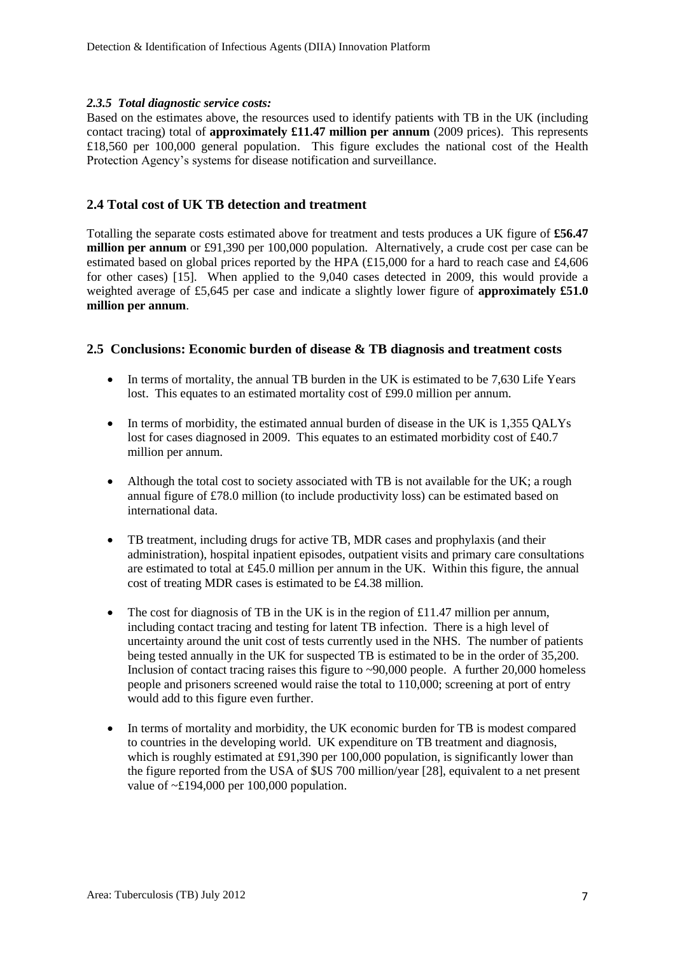#### *2.3.5 Total diagnostic service costs:*

Based on the estimates above, the resources used to identify patients with TB in the UK (including contact tracing) total of **approximately £11.47 million per annum** (2009 prices). This represents £18,560 per 100,000 general population. This figure excludes the national cost of the Health Protection Agency's systems for disease notification and surveillance.

## **2.4 Total cost of UK TB detection and treatment**

Totalling the separate costs estimated above for treatment and tests produces a UK figure of **£56.47 million per annum** or £91,390 per 100,000 population. Alternatively, a crude cost per case can be estimated based on global prices reported by the HPA (£15,000 for a hard to reach case and £4,606 for other cases) [\[15\]](#page-25-14). When applied to the 9,040 cases detected in 2009, this would provide a weighted average of £5,645 per case and indicate a slightly lower figure of **approximately £51.0 million per annum**.

## **2.5 Conclusions: Economic burden of disease & TB diagnosis and treatment costs**

- In terms of mortality, the annual TB burden in the UK is estimated to be 7,630 Life Years lost. This equates to an estimated mortality cost of £99.0 million per annum.
- In terms of morbidity, the estimated annual burden of disease in the UK is 1,355 QALYs lost for cases diagnosed in 2009. This equates to an estimated morbidity cost of £40.7 million per annum.
- Although the total cost to society associated with TB is not available for the UK; a rough annual figure of  $\text{\textsterling}78.0$  million (to include productivity loss) can be estimated based on international data.
- TB treatment, including drugs for active TB, MDR cases and prophylaxis (and their administration), hospital inpatient episodes, outpatient visits and primary care consultations are estimated to total at £45.0 million per annum in the UK. Within this figure, the annual cost of treating MDR cases is estimated to be £4.38 million.
- The cost for diagnosis of TB in the UK is in the region of £11.47 million per annum, including contact tracing and testing for latent TB infection. There is a high level of uncertainty around the unit cost of tests currently used in the NHS. The number of patients being tested annually in the UK for suspected TB is estimated to be in the order of 35,200. Inclusion of contact tracing raises this figure to ~90,000 people. A further 20,000 homeless people and prisoners screened would raise the total to 110,000; screening at port of entry would add to this figure even further.
- In terms of mortality and morbidity, the UK economic burden for TB is modest compared to countries in the developing world. UK expenditure on TB treatment and diagnosis, which is roughly estimated at £91,390 per 100,000 population, is significantly lower than the figure reported from the USA of \$US 700 million/year [\[28\]](#page-26-7), equivalent to a net present value of  $\sim$ £194,000 per 100,000 population.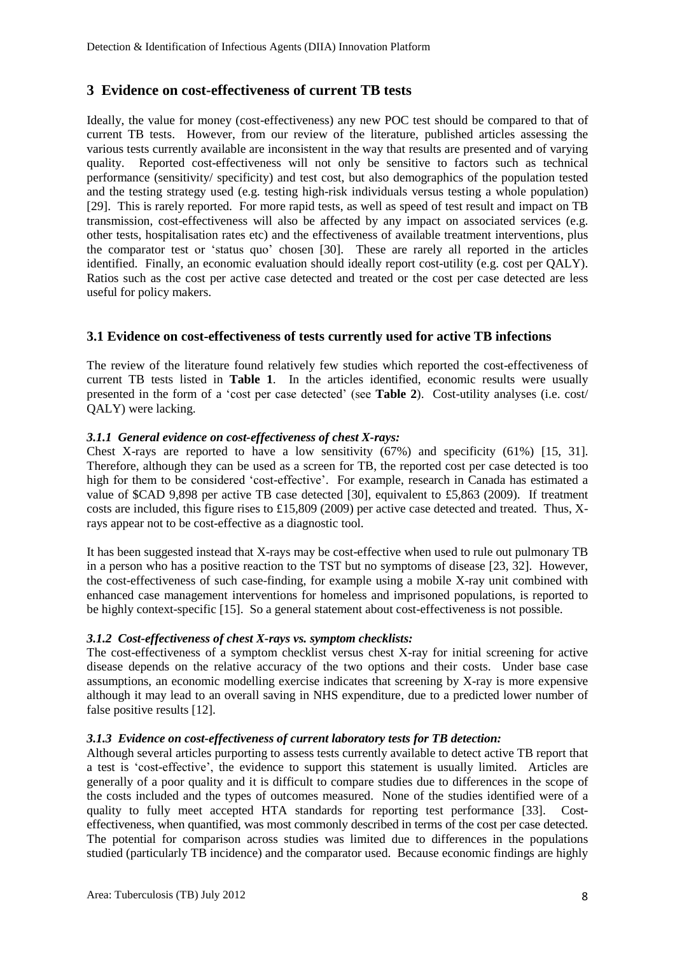## **3 Evidence on cost-effectiveness of current TB tests**

Ideally, the value for money (cost-effectiveness) any new POC test should be compared to that of current TB tests. However, from our review of the literature, published articles assessing the various tests currently available are inconsistent in the way that results are presented and of varying quality. Reported cost-effectiveness will not only be sensitive to factors such as technical performance (sensitivity/ specificity) and test cost, but also demographics of the population tested and the testing strategy used (e.g. testing high-risk individuals versus testing a whole population) [\[29\]](#page-26-8). This is rarely reported. For more rapid tests, as well as speed of test result and impact on TB transmission, cost-effectiveness will also be affected by any impact on associated services (e.g. other tests, hospitalisation rates etc) and the effectiveness of available treatment interventions, plus the comparator test or 'status quo' chosen [\[30\]](#page-26-9). These are rarely all reported in the articles identified. Finally, an economic evaluation should ideally report cost-utility (e.g. cost per QALY). Ratios such as the cost per active case detected and treated or the cost per case detected are less useful for policy makers.

## **3.1 Evidence on cost-effectiveness of tests currently used for active TB infections**

The review of the literature found relatively few studies which reported the cost-effectiveness of current TB tests listed in **Table 1**. In the articles identified, economic results were usually presented in the form of a 'cost per case detected' (see **Table 2**). Cost-utility analyses (i.e. cost/ QALY) were lacking.

#### *3.1.1 General evidence on cost-effectiveness of chest X-rays:*

Chest X-rays are reported to have a low sensitivity (67%) and specificity (61%) [\[15,](#page-25-14) [31\]](#page-26-10). Therefore, although they can be used as a screen for TB, the reported cost per case detected is too high for them to be considered 'cost-effective'. For example, research in Canada has estimated a value of \$CAD 9,898 per active TB case detected [\[30\]](#page-26-9), equivalent to £5,863 (2009). If treatment costs are included, this figure rises to £15,809 (2009) per active case detected and treated. Thus, Xrays appear not to be cost-effective as a diagnostic tool.

It has been suggested instead that X-rays may be cost-effective when used to rule out pulmonary TB in a person who has a positive reaction to the TST but no symptoms of disease [\[23,](#page-26-2) [32\]](#page-26-11). However, the cost-effectiveness of such case-finding, for example using a mobile X-ray unit combined with enhanced case management interventions for homeless and imprisoned populations, is reported to be highly context-specific [\[15\]](#page-25-14). So a general statement about cost-effectiveness is not possible.

## *3.1.2 Cost-effectiveness of chest X-rays vs. symptom checklists:*

The cost-effectiveness of a symptom checklist versus chest X-ray for initial screening for active disease depends on the relative accuracy of the two options and their costs. Under base case assumptions, an economic modelling exercise indicates that screening by X-ray is more expensive although it may lead to an overall saving in NHS expenditure, due to a predicted lower number of false positive results [\[12\]](#page-25-11).

#### *3.1.3 Evidence on cost-effectiveness of current laboratory tests for TB detection:*

Although several articles purporting to assess tests currently available to detect active TB report that a test is 'cost-effective', the evidence to support this statement is usually limited. Articles are generally of a poor quality and it is difficult to compare studies due to differences in the scope of the costs included and the types of outcomes measured. None of the studies identified were of a quality to fully meet accepted HTA standards for reporting test performance [\[33\]](#page-26-12). Costeffectiveness, when quantified, was most commonly described in terms of the cost per case detected. The potential for comparison across studies was limited due to differences in the populations studied (particularly TB incidence) and the comparator used. Because economic findings are highly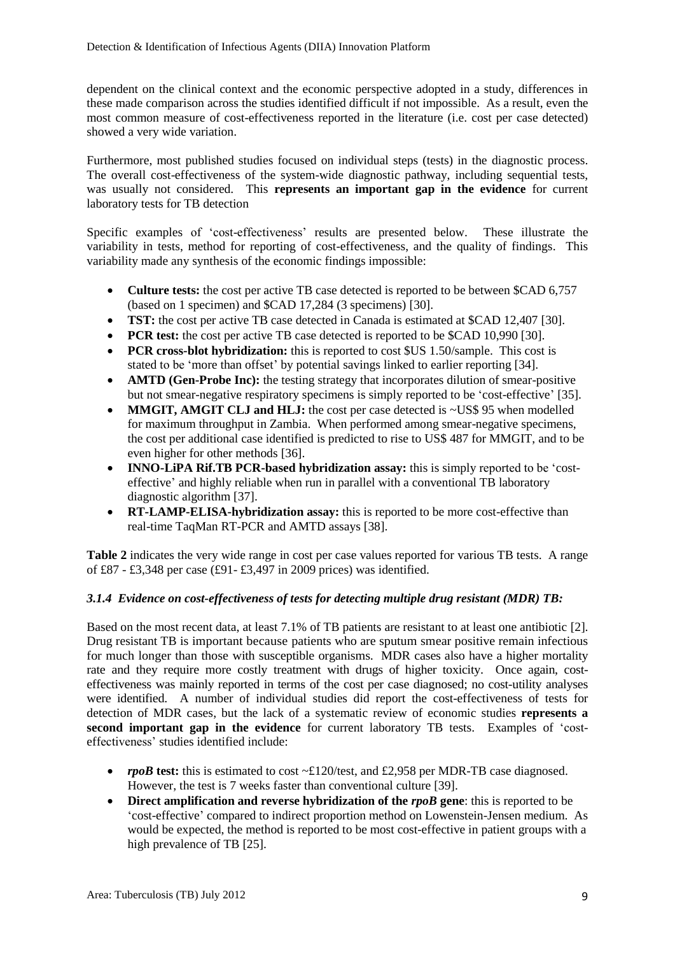dependent on the clinical context and the economic perspective adopted in a study, differences in these made comparison across the studies identified difficult if not impossible. As a result, even the most common measure of cost-effectiveness reported in the literature (i.e. cost per case detected) showed a very wide variation.

Furthermore, most published studies focused on individual steps (tests) in the diagnostic process. The overall cost-effectiveness of the system-wide diagnostic pathway, including sequential tests, was usually not considered. This **represents an important gap in the evidence** for current laboratory tests for TB detection

Specific examples of 'cost-effectiveness' results are presented below. These illustrate the variability in tests, method for reporting of cost-effectiveness, and the quality of findings. This variability made any synthesis of the economic findings impossible:

- **Culture tests:** the cost per active TB case detected is reported to be between \$CAD 6,757 (based on 1 specimen) and \$CAD 17,284 (3 specimens) [\[30\]](#page-26-9).
- **TST:** the cost per active TB case detected in Canada is estimated at \$CAD 12,407 [\[30\]](#page-26-9).
- **PCR test:** the cost per active TB case detected is reported to be \$CAD 10,990 [\[30\]](#page-26-9).
- **PCR cross-blot hybridization:** this is reported to cost \$US 1.50/sample. This cost is stated to be 'more than offset' by potential savings linked to earlier reporting [\[34\]](#page-26-13).
- **AMTD (Gen-Probe Inc):** the testing strategy that incorporates dilution of smear-positive but not smear-negative respiratory specimens is simply reported to be 'cost-effective' [\[35\]](#page-26-14).
- **MMGIT, AMGIT CLJ and HLJ:** the cost per case detected is ~US\$ 95 when modelled for maximum throughput in Zambia. When performed among smear-negative specimens, the cost per additional case identified is predicted to rise to US\$ 487 for MMGIT, and to be even higher for other methods [\[36\]](#page-26-15).
- **INNO-LiPA Rif.TB PCR-based hybridization assay:** this is simply reported to be 'costeffective' and highly reliable when run in parallel with a conventional TB laboratory diagnostic algorithm [\[37\]](#page-26-16).
- **RT-LAMP-ELISA-hybridization assay:** this is reported to be more cost-effective than real-time TaqMan RT-PCR and AMTD assays [\[38\]](#page-26-17).

**Table 2** indicates the very wide range in cost per case values reported for various TB tests. A range of £87 - £3,348 per case (£91- £3,497 in 2009 prices) was identified.

## *3.1.4 Evidence on cost-effectiveness of tests for detecting multiple drug resistant (MDR) TB:*

Based on the most recent data, at least 7.1% of TB patients are resistant to at least one antibiotic [\[2\]](#page-25-1). Drug resistant TB is important because patients who are sputum smear positive remain infectious for much longer than those with susceptible organisms. MDR cases also have a higher mortality rate and they require more costly treatment with drugs of higher toxicity. Once again, costeffectiveness was mainly reported in terms of the cost per case diagnosed; no cost-utility analyses were identified. A number of individual studies did report the cost-effectiveness of tests for detection of MDR cases, but the lack of a systematic review of economic studies **represents a second important gap in the evidence** for current laboratory TB tests. Examples of 'costeffectiveness' studies identified include:

- *rpoB* **test:** this is estimated to cost  $\sim$  £120/test, and £2,958 per MDR-TB case diagnosed. However, the test is 7 weeks faster than conventional culture [\[39\]](#page-26-18).
- **Direct amplification and reverse hybridization of the** *rpoB* **gene:** this is reported to be 'cost-effective' compared to indirect proportion method on Lowenstein-Jensen medium. As would be expected, the method is reported to be most cost-effective in patient groups with a high prevalence of TB [\[25\]](#page-26-4).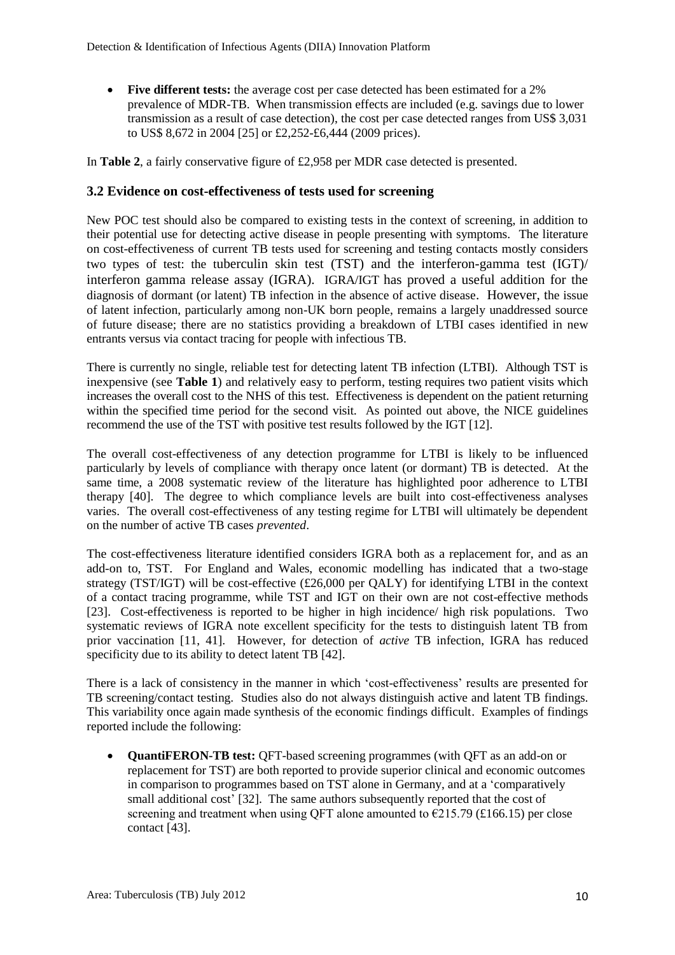**Five different tests:** the average cost per case detected has been estimated for a 2% prevalence of MDR-TB. When transmission effects are included (e.g. savings due to lower transmission as a result of case detection), the cost per case detected ranges from US\$ 3,031 to US\$ 8,672 in 2004 [\[25\]](#page-26-4) or £2,252-£6,444 (2009 prices).

In **Table 2**, a fairly conservative figure of £2,958 per MDR case detected is presented.

#### **3.2 Evidence on cost-effectiveness of tests used for screening**

New POC test should also be compared to existing tests in the context of screening, in addition to their potential use for detecting active disease in people presenting with symptoms. The literature on cost-effectiveness of current TB tests used for screening and testing contacts mostly considers two types of test: the tuberculin skin test (TST) and the interferon-gamma test (IGT)/ interferon gamma release assay (IGRA). IGRA/IGT has proved a useful addition for the diagnosis of dormant (or latent) TB infection in the absence of active disease. However, the issue of latent infection, particularly among non-UK born people, remains a largely unaddressed source of future disease; there are no statistics providing a breakdown of LTBI cases identified in new entrants versus via contact tracing for people with infectious TB.

There is currently no single, reliable test for detecting latent TB infection (LTBI). Although TST is inexpensive (see **Table 1**) and relatively easy to perform, testing requires two patient visits which increases the overall cost to the NHS of this test. Effectiveness is dependent on the patient returning within the specified time period for the second visit. As pointed out above, the NICE guidelines recommend the use of the TST with positive test results followed by the IGT [\[12\]](#page-25-11).

The overall cost-effectiveness of any detection programme for LTBI is likely to be influenced particularly by levels of compliance with therapy once latent (or dormant) TB is detected. At the same time, a 2008 systematic review of the literature has highlighted poor adherence to LTBI therapy [\[40\]](#page-27-0). The degree to which compliance levels are built into cost-effectiveness analyses varies. The overall cost-effectiveness of any testing regime for LTBI will ultimately be dependent on the number of active TB cases *prevented*.

The cost-effectiveness literature identified considers IGRA both as a replacement for, and as an add-on to, TST. For England and Wales, economic modelling has indicated that a two-stage strategy (TST/IGT) will be cost-effective (£26,000 per QALY) for identifying LTBI in the context of a contact tracing programme, while TST and IGT on their own are not cost-effective methods [\[23\]](#page-26-2). Cost-effectiveness is reported to be higher in high incidence/ high risk populations. Two systematic reviews of IGRA note excellent specificity for the tests to distinguish latent TB from prior vaccination [\[11,](#page-25-10) [41\]](#page-27-1). However, for detection of *active* TB infection, IGRA has reduced specificity due to its ability to detect latent TB [\[42\]](#page-27-2).

There is a lack of consistency in the manner in which 'cost-effectiveness' results are presented for TB screening/contact testing. Studies also do not always distinguish active and latent TB findings. This variability once again made synthesis of the economic findings difficult. Examples of findings reported include the following:

 **QuantiFERON-TB test:** QFT-based screening programmes (with QFT as an add-on or replacement for TST) are both reported to provide superior clinical and economic outcomes in comparison to programmes based on TST alone in Germany, and at a 'comparatively small additional cost' [\[32\]](#page-26-11). The same authors subsequently reported that the cost of screening and treatment when using QFT alone amounted to  $\epsilon$ 215.79 (£166.15) per close contact [\[43\]](#page-27-3).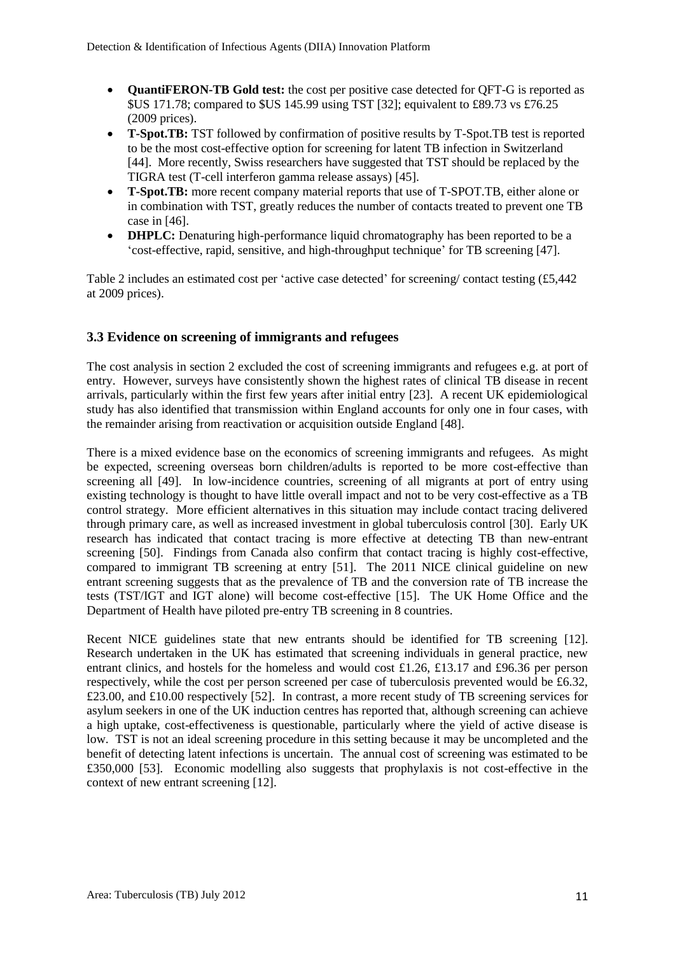- **QuantiFERON-TB Gold test:** the cost per positive case detected for QFT-G is reported as \$US 171.78; compared to \$US 145.99 using TST [\[32\]](#page-26-11); equivalent to £89.73 vs £76.25 (2009 prices).
- **T-Spot.TB:** TST followed by confirmation of positive results by T-Spot.TB test is reported to be the most cost-effective option for screening for latent TB infection in Switzerland [\[44\]](#page-27-4). More recently, Swiss researchers have suggested that TST should be replaced by the TIGRA test (T-cell interferon gamma release assays) [\[45\]](#page-27-5).
- **T-Spot.TB:** more recent company material reports that use of T-SPOT.TB, either alone or in combination with TST, greatly reduces the number of contacts treated to prevent one TB case in [\[46\]](#page-27-6).
- **DHPLC:** Denaturing high-performance liquid chromatography has been reported to be a 'cost-effective, rapid, sensitive, and high-throughput technique' for TB screening [\[47\]](#page-27-7).

Table 2 includes an estimated cost per 'active case detected' for screening/ contact testing (£5,442 at 2009 prices).

## **3.3 Evidence on screening of immigrants and refugees**

The cost analysis in section 2 excluded the cost of screening immigrants and refugees e.g. at port of entry. However, surveys have consistently shown the highest rates of clinical TB disease in recent arrivals, particularly within the first few years after initial entry [\[23\]](#page-26-2). A recent UK epidemiological study has also identified that transmission within England accounts for only one in four cases, with the remainder arising from reactivation or acquisition outside England [\[48\]](#page-27-8).

There is a mixed evidence base on the economics of screening immigrants and refugees. As might be expected, screening overseas born children/adults is reported to be more cost-effective than screening all [\[49\]](#page-27-9). In low-incidence countries, screening of all migrants at port of entry using existing technology is thought to have little overall impact and not to be very cost-effective as a TB control strategy. More efficient alternatives in this situation may include contact tracing delivered through primary care, as well as increased investment in global tuberculosis control [\[30\]](#page-26-9). Early UK research has indicated that contact tracing is more effective at detecting TB than new-entrant screening [\[50\]](#page-27-10). Findings from Canada also confirm that contact tracing is highly cost-effective, compared to immigrant TB screening at entry [\[51\]](#page-27-11). The 2011 NICE clinical guideline on new entrant screening suggests that as the prevalence of TB and the conversion rate of TB increase the tests (TST/IGT and IGT alone) will become cost-effective [\[15\]](#page-25-14). The UK Home Office and the Department of Health have piloted pre-entry TB screening in 8 countries.

Recent NICE guidelines state that new entrants should be identified for TB screening [\[12\]](#page-25-11). Research undertaken in the UK has estimated that screening individuals in general practice, new entrant clinics, and hostels for the homeless and would cost £1.26, £13.17 and £96.36 per person respectively, while the cost per person screened per case of tuberculosis prevented would be £6.32, £23.00, and £10.00 respectively [\[52\]](#page-27-12). In contrast, a more recent study of TB screening services for asylum seekers in one of the UK induction centres has reported that, although screening can achieve a high uptake, cost-effectiveness is questionable, particularly where the yield of active disease is low. TST is not an ideal screening procedure in this setting because it may be uncompleted and the benefit of detecting latent infections is uncertain. The annual cost of screening was estimated to be £350,000 [\[53\]](#page-27-13). Economic modelling also suggests that prophylaxis is not cost-effective in the context of new entrant screening [\[12\]](#page-25-11).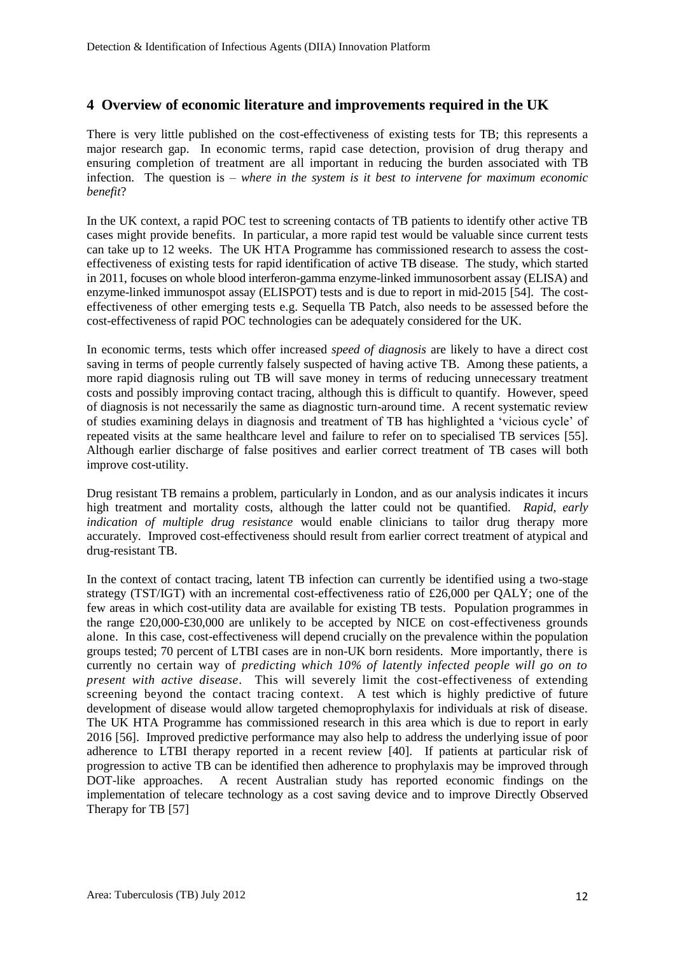## **4 Overview of economic literature and improvements required in the UK**

There is very little published on the cost-effectiveness of existing tests for TB; this represents a major research gap. In economic terms, rapid case detection, provision of drug therapy and ensuring completion of treatment are all important in reducing the burden associated with TB infection. The question is – *where in the system is it best to intervene for maximum economic benefit*?

In the UK context, a rapid POC test to screening contacts of TB patients to identify other active TB cases might provide benefits. In particular, a more rapid test would be valuable since current tests can take up to 12 weeks. The UK HTA Programme has commissioned research to assess the costeffectiveness of existing tests for rapid identification of active TB disease. The study, which started in 2011, focuses on whole blood interferon-gamma enzyme-linked immunosorbent assay (ELISA) and enzyme-linked immunospot assay (ELISPOT) tests and is due to report in mid-2015 [\[54\]](#page-27-14). The costeffectiveness of other emerging tests e.g. Sequella TB Patch, also needs to be assessed before the cost-effectiveness of rapid POC technologies can be adequately considered for the UK.

In economic terms, tests which offer increased *speed of diagnosis* are likely to have a direct cost saving in terms of people currently falsely suspected of having active TB. Among these patients, a more rapid diagnosis ruling out TB will save money in terms of reducing unnecessary treatment costs and possibly improving contact tracing, although this is difficult to quantify. However, speed of diagnosis is not necessarily the same as diagnostic turn-around time. A recent systematic review of studies examining delays in diagnosis and treatment of TB has highlighted a 'vicious cycle' of repeated visits at the same healthcare level and failure to refer on to specialised TB services [\[55\]](#page-27-15). Although earlier discharge of false positives and earlier correct treatment of TB cases will both improve cost-utility.

Drug resistant TB remains a problem, particularly in London, and as our analysis indicates it incurs high treatment and mortality costs, although the latter could not be quantified. *Rapid, early indication of multiple drug resistance* would enable clinicians to tailor drug therapy more accurately. Improved cost-effectiveness should result from earlier correct treatment of atypical and drug-resistant TB.

In the context of contact tracing, latent TB infection can currently be identified using a two-stage strategy (TST/IGT) with an incremental cost-effectiveness ratio of £26,000 per QALY; one of the few areas in which cost-utility data are available for existing TB tests. Population programmes in the range £20,000-£30,000 are unlikely to be accepted by NICE on cost-effectiveness grounds alone. In this case, cost-effectiveness will depend crucially on the prevalence within the population groups tested; 70 percent of LTBI cases are in non-UK born residents. More importantly, there is currently no certain way of *predicting which 10% of latently infected people will go on to present with active disease*. This will severely limit the cost-effectiveness of extending screening beyond the contact tracing context. A test which is highly predictive of future development of disease would allow targeted chemoprophylaxis for individuals at risk of disease. The UK HTA Programme has commissioned research in this area which is due to report in early 2016 [\[56\]](#page-27-16). Improved predictive performance may also help to address the underlying issue of poor adherence to LTBI therapy reported in a recent review [\[40\]](#page-27-0). If patients at particular risk of progression to active TB can be identified then adherence to prophylaxis may be improved through DOT-like approaches. A recent Australian study has reported economic findings on the implementation of telecare technology as a cost saving device and to improve Directly Observed Therapy for TB [\[57\]](#page-27-17)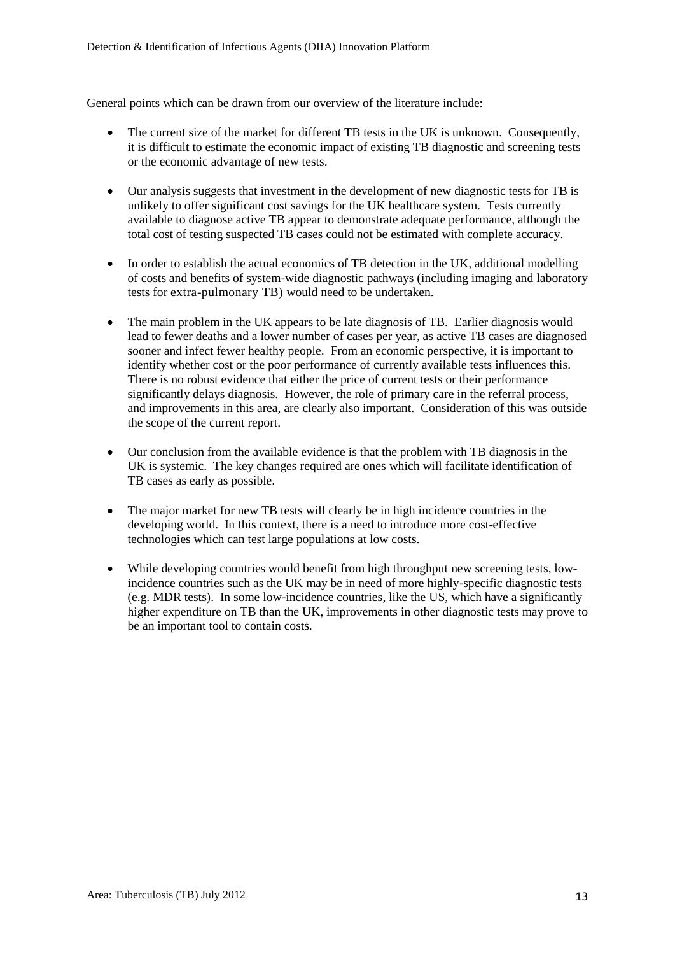General points which can be drawn from our overview of the literature include:

- The current size of the market for different TB tests in the UK is unknown. Consequently, it is difficult to estimate the economic impact of existing TB diagnostic and screening tests or the economic advantage of new tests.
- Our analysis suggests that investment in the development of new diagnostic tests for TB is unlikely to offer significant cost savings for the UK healthcare system. Tests currently available to diagnose active TB appear to demonstrate adequate performance, although the total cost of testing suspected TB cases could not be estimated with complete accuracy.
- In order to establish the actual economics of TB detection in the UK, additional modelling of costs and benefits of system-wide diagnostic pathways (including imaging and laboratory tests for extra-pulmonary TB) would need to be undertaken.
- The main problem in the UK appears to be late diagnosis of TB. Earlier diagnosis would lead to fewer deaths and a lower number of cases per year, as active TB cases are diagnosed sooner and infect fewer healthy people. From an economic perspective, it is important to identify whether cost or the poor performance of currently available tests influences this. There is no robust evidence that either the price of current tests or their performance significantly delays diagnosis. However, the role of primary care in the referral process, and improvements in this area, are clearly also important. Consideration of this was outside the scope of the current report.
- Our conclusion from the available evidence is that the problem with TB diagnosis in the UK is systemic. The key changes required are ones which will facilitate identification of TB cases as early as possible.
- The major market for new TB tests will clearly be in high incidence countries in the developing world. In this context, there is a need to introduce more cost-effective technologies which can test large populations at low costs.
- While developing countries would benefit from high throughput new screening tests, lowincidence countries such as the UK may be in need of more highly-specific diagnostic tests (e.g. MDR tests). In some low-incidence countries, like the US, which have a significantly higher expenditure on TB than the UK, improvements in other diagnostic tests may prove to be an important tool to contain costs.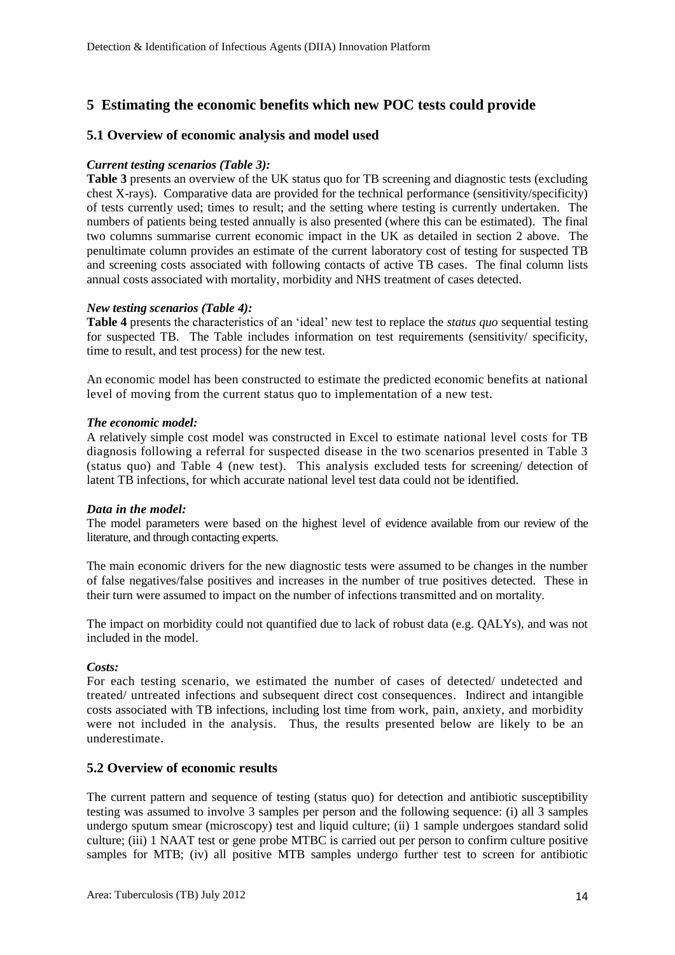## **5 Estimating the economic benefits which new POC tests could provide**

#### **5.1 Overview of economic analysis and model used**

#### *Current testing scenarios (Table 3):*

**Table 3** presents an overview of the UK status quo for TB screening and diagnostic tests (excluding chest X-rays). Comparative data are provided for the technical performance (sensitivity/specificity) of tests currently used; times to result; and the setting where testing is currently undertaken. The numbers of patients being tested annually is also presented (where this can be estimated). The final two columns summarise current economic impact in the UK as detailed in section 2 above. The penultimate column provides an estimate of the current laboratory cost of testing for suspected TB and screening costs associated with following contacts of active TB cases. The final column lists annual costs associated with mortality, morbidity and NHS treatment of cases detected.

#### *New testing scenarios (Table 4):*

**Table 4** presents the characteristics of an 'ideal' new test to replace the *status quo* sequential testing for suspected TB. The Table includes information on test requirements (sensitivity/ specificity, time to result, and test process) for the new test.

An economic model has been constructed to estimate the predicted economic benefits at national level of moving from the current status quo to implementation of a new test.

#### *The economic model:*

A relatively simple cost model was constructed in Excel to estimate national level costs for TB diagnosis following a referral for suspected disease in the two scenarios presented in Table 3 (status quo) and Table 4 (new test). This analysis excluded tests for screening/ detection of latent TB infections, for which accurate national level test data could not be identified.

#### *Data in the model:*

The model parameters were based on the highest level of evidence available from our review of the literature, and through contacting experts.

The main economic drivers for the new diagnostic tests were assumed to be changes in the number of false negatives/false positives and increases in the number of true positives detected. These in their turn were assumed to impact on the number of infections transmitted and on mortality.

The impact on morbidity could not quantified due to lack of robust data (e.g. QALYs), and was not included in the model.

#### *Costs:*

For each testing scenario, we estimated the number of cases of detected/ undetected and treated/ untreated infections and subsequent direct cost consequences. Indirect and intangible costs associated with TB infections, including lost time from work, pain, anxiety, and morbidity were not included in the analysis. Thus, the results presented below are likely to be an underestimate.

#### **5.2 Overview of economic results**

The current pattern and sequence of testing (status quo) for detection and antibiotic susceptibility testing was assumed to involve 3 samples per person and the following sequence: (i) all 3 samples undergo sputum smear (microscopy) test and liquid culture; (ii) 1 sample undergoes standard solid culture; (iii) 1 NAAT test or gene probe MTBC is carried out per person to confirm culture positive samples for MTB; (iv) all positive MTB samples undergo further test to screen for antibiotic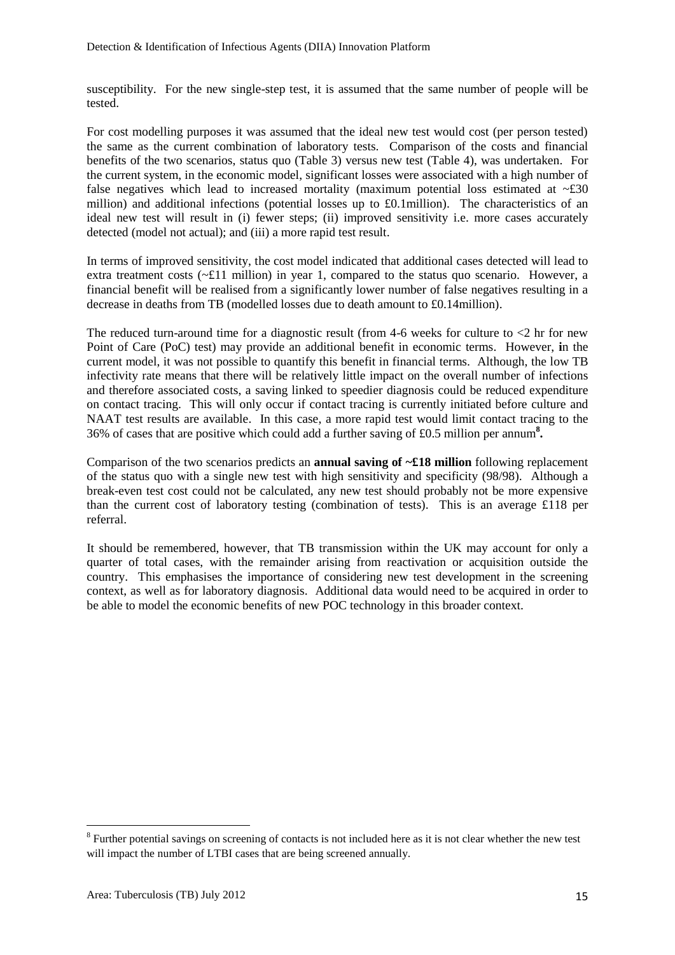susceptibility. For the new single-step test, it is assumed that the same number of people will be tested.

For cost modelling purposes it was assumed that the ideal new test would cost (per person tested) the same as the current combination of laboratory tests. Comparison of the costs and financial benefits of the two scenarios, status quo (Table 3) versus new test (Table 4), was undertaken. For the current system, in the economic model, significant losses were associated with a high number of false negatives which lead to increased mortality (maximum potential loss estimated at  $\sim$ £30 million) and additional infections (potential losses up to £0.1million). The characteristics of an ideal new test will result in (i) fewer steps; (ii) improved sensitivity i.e. more cases accurately detected (model not actual); and (iii) a more rapid test result.

In terms of improved sensitivity, the cost model indicated that additional cases detected will lead to extra treatment costs (~£11 million) in year 1, compared to the status quo scenario. However, a financial benefit will be realised from a significantly lower number of false negatives resulting in a decrease in deaths from TB (modelled losses due to death amount to £0.14million).

The reduced turn-around time for a diagnostic result (from 4-6 weeks for culture to  $\langle 2 \rangle$  hr for new Point of Care (PoC) test) may provide an additional benefit in economic terms. However, **i**n the current model, it was not possible to quantify this benefit in financial terms.Although, the low TB infectivity rate means that there will be relatively little impact on the overall number of infections and therefore associated costs, a saving linked to speedier diagnosis could be reduced expenditure on contact tracing. This will only occur if contact tracing is currently initiated before culture and NAAT test results are available. In this case, a more rapid test would limit contact tracing to the 36% of cases that are positive which could add a further saving of £0.5 million per annum**<sup>8</sup> .**

Comparison of the two scenarios predicts an **annual saving of ~£18 million** following replacement of the status quo with a single new test with high sensitivity and specificity (98/98). Although a break-even test cost could not be calculated, any new test should probably not be more expensive than the current cost of laboratory testing (combination of tests). This is an average £118 per referral.

It should be remembered, however, that TB transmission within the UK may account for only a quarter of total cases, with the remainder arising from reactivation or acquisition outside the country. This emphasises the importance of considering new test development in the screening context, as well as for laboratory diagnosis. Additional data would need to be acquired in order to be able to model the economic benefits of new POC technology in this broader context.

 $\overline{a}$ 

 $8$  Further potential savings on screening of contacts is not included here as it is not clear whether the new test will impact the number of LTBI cases that are being screened annually.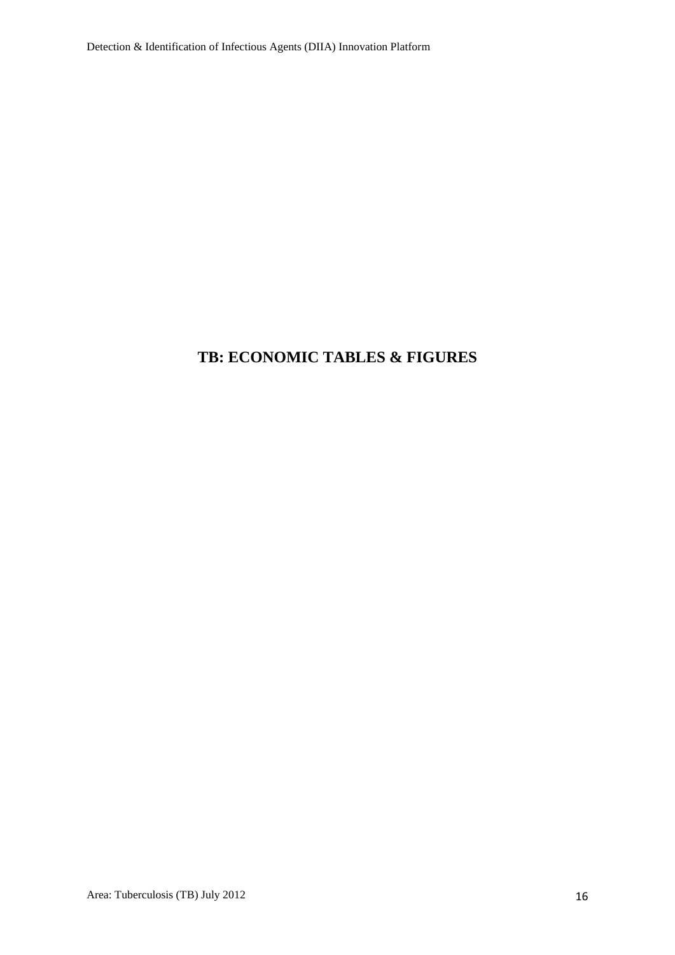Detection & Identification of Infectious Agents (DIIA) Innovation Platform

## **TB: ECONOMIC TABLES & FIGURES**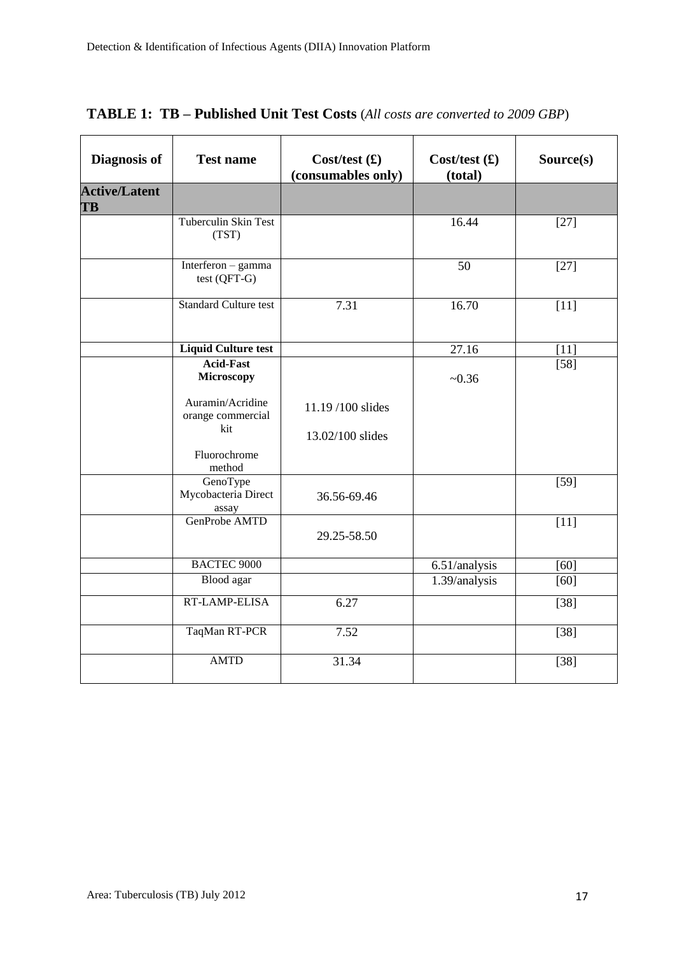| Diagnosis of               | <b>Test name</b>                         | $Cost-test (f)$<br>(consumables only) | $Cost-test (f)$<br>(total) | Source(s) |
|----------------------------|------------------------------------------|---------------------------------------|----------------------------|-----------|
| <b>Active/Latent</b><br>TB |                                          |                                       |                            |           |
|                            | <b>Tuberculin Skin Test</b><br>(TST)     |                                       | 16.44                      | $[27]$    |
|                            | Interferon - gamma<br>$test (QFT-G)$     |                                       | 50                         | $[27]$    |
|                            | <b>Standard Culture test</b>             | 7.31                                  | 16.70                      | $[11]$    |
|                            | <b>Liquid Culture test</b>               |                                       | 27.16                      | $[11]$    |
|                            | <b>Acid-Fast</b><br>Microscopy           |                                       | ~10.36                     | $[58]$    |
|                            | Auramin/Acridine<br>orange commercial    | 11.19/100 slides                      |                            |           |
|                            | kit<br>Fluorochrome<br>method            | 13.02/100 slides                      |                            |           |
|                            | GenoType<br>Mycobacteria Direct<br>assay | 36.56-69.46                           |                            | $[59]$    |
|                            | GenProbe AMTD                            | 29.25-58.50                           |                            | $[11]$    |
|                            | <b>BACTEC 9000</b>                       |                                       | 6.51/analysis              | [60]      |
|                            | Blood agar                               |                                       | $1.39$ /analysis           | $[60]$    |
|                            | RT-LAMP-ELISA                            | 6.27                                  |                            | $[38]$    |
|                            | TaqMan RT-PCR                            | 7.52                                  |                            | $[38]$    |
|                            | <b>AMTD</b>                              | 31.34                                 |                            | $[38]$    |

## **TABLE 1: TB – Published Unit Test Costs** (*All costs are converted to 2009 GBP*)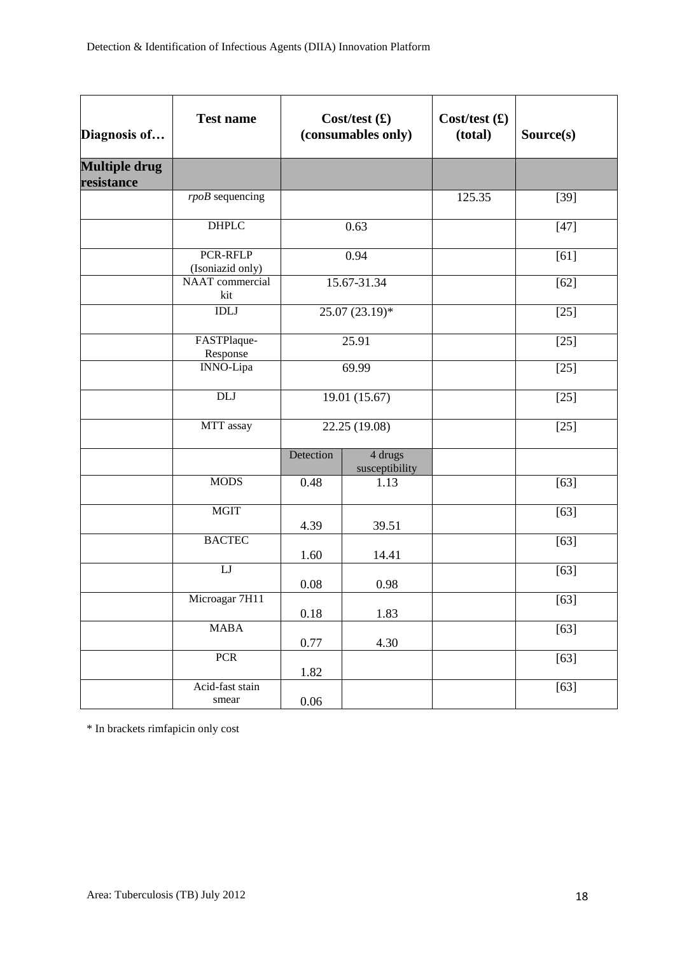| Diagnosis of                       | <b>Test name</b>             | Cost/test $(f)$<br>(consumables only) |                           | Cost/test $(f)$<br>(total) | Source(s)         |
|------------------------------------|------------------------------|---------------------------------------|---------------------------|----------------------------|-------------------|
| <b>Multiple drug</b><br>resistance |                              |                                       |                           |                            |                   |
|                                    | $rpoB$ sequencing            |                                       |                           | 125.35                     | $[39]$            |
|                                    | <b>DHPLC</b>                 |                                       | 0.63                      |                            | $[47]$            |
|                                    | PCR-RFLP<br>(Isoniazid only) |                                       | 0.94                      |                            | [61]              |
|                                    | NAAT commercial<br>kit       |                                       | 15.67-31.34               |                            | $[62]$            |
|                                    | <b>IDLJ</b>                  |                                       | $25.07(23.19)*$           |                            | $[25]$            |
|                                    | FASTPlaque-<br>Response      | 25.91                                 |                           |                            | $[25]$            |
|                                    | <b>INNO-Lipa</b>             | 69.99                                 |                           |                            | $[25]$            |
|                                    | $\overline{DLJ}$             | 19.01(15.67)                          |                           |                            | $[25]$            |
|                                    | MTT assay                    | 22.25 (19.08)                         |                           |                            | $[25]$            |
|                                    |                              | Detection                             | 4 drugs<br>susceptibility |                            |                   |
|                                    | <b>MODS</b>                  | 0.48                                  | 1.13                      |                            | $[63]$            |
|                                    | <b>MGIT</b>                  | 4.39                                  | 39.51                     |                            | $[63]$            |
|                                    | <b>BACTEC</b>                | 1.60                                  | 14.41                     |                            | $[63]$            |
|                                    | $\overline{LI}$              | 0.08                                  | 0.98                      |                            | $[63]$            |
|                                    | Microagar 7H11               | 0.18                                  | 1.83                      |                            | $[63]$            |
|                                    | <b>MABA</b>                  | 0.77                                  | 4.30                      |                            | $[63]$            |
|                                    | <b>PCR</b>                   | 1.82                                  |                           |                            | $\overline{[63]}$ |
|                                    | Acid-fast stain<br>smear     | 0.06                                  |                           |                            | $[63]$            |

\* In brackets rimfapicin only cost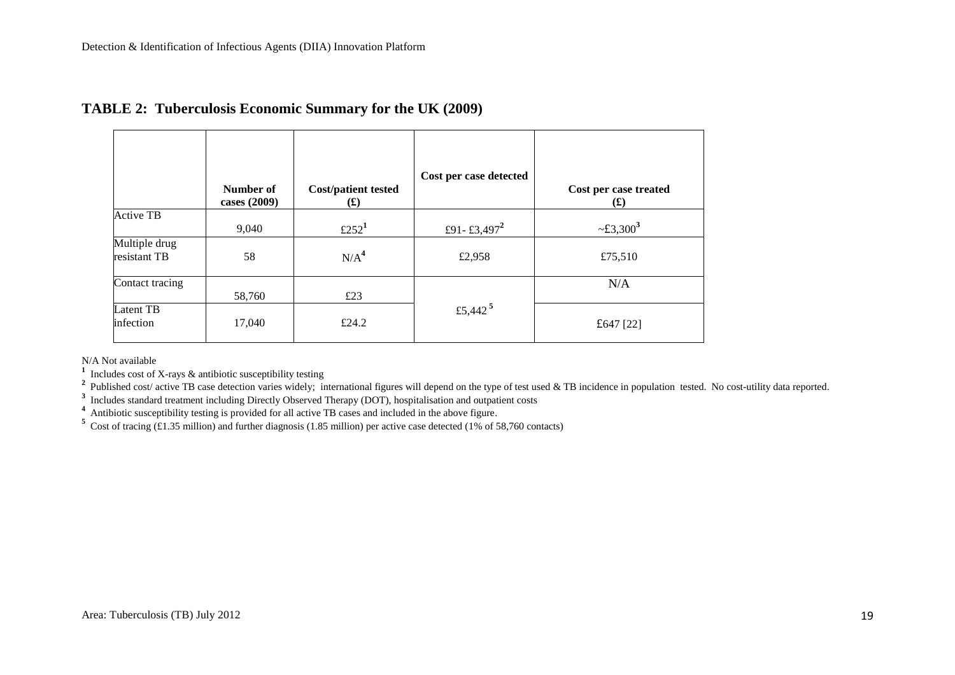|                               | Number of<br>cases (2009) | <b>Cost/patient tested</b><br>$\mathbf{f}(\mathbf{f})$ | Cost per case detected  | Cost per case treated<br>$\mathbf f(x)$ |
|-------------------------------|---------------------------|--------------------------------------------------------|-------------------------|-----------------------------------------|
| <b>Active TB</b>              | 9,040                     | £252 $1$                                               | £91-£3,497 <sup>2</sup> | $-£3,300^3$                             |
| Multiple drug<br>resistant TB | 58                        | N/A <sup>4</sup>                                       | £2,958                  | £75,510                                 |
| Contact tracing               | 58,760                    | £23                                                    |                         | N/A                                     |
| Latent TB<br>infection        | 17,040                    | £24.2                                                  | £5,442 $5$              | £647 $[22]$                             |

## **TABLE 2: Tuberculosis Economic Summary for the UK (2009)**

N/A Not available

<sup>1</sup> Includes cost of X-rays & antibiotic susceptibility testing<br><sup>2</sup> Published cost/ active TB case detection varies widely; international figures will depend on the type of test used & TB incidence in population tested. N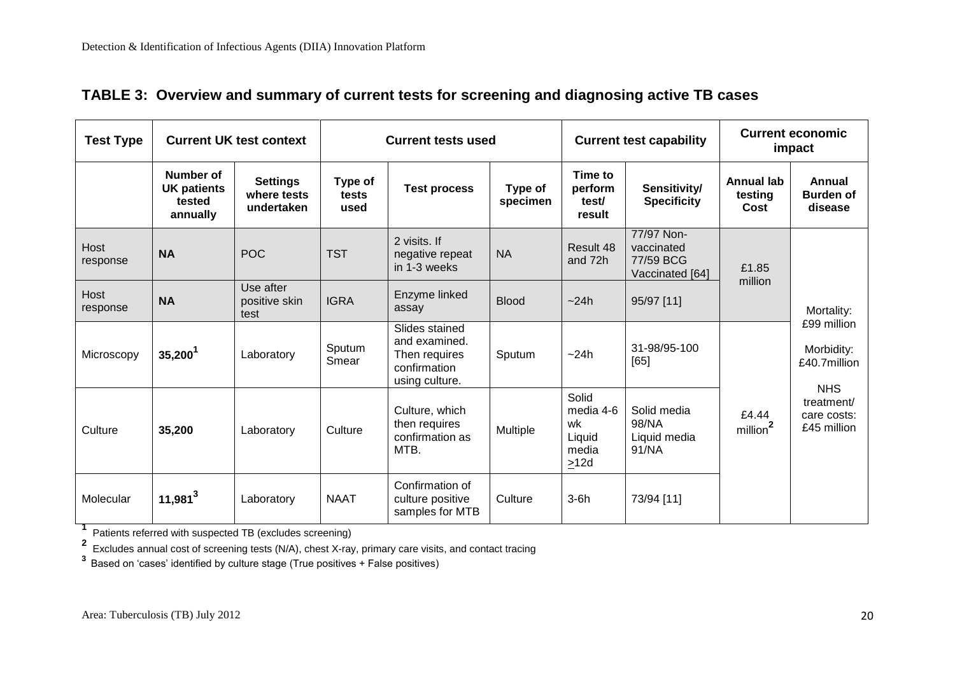| <b>Test Type</b> |                                                | <b>Current UK test context</b>               | <b>Current tests used</b> |                                                                                    | <b>Current test capability</b> |                                                           | <b>Current economic</b><br>impact                        |                               |                                                        |
|------------------|------------------------------------------------|----------------------------------------------|---------------------------|------------------------------------------------------------------------------------|--------------------------------|-----------------------------------------------------------|----------------------------------------------------------|-------------------------------|--------------------------------------------------------|
|                  | Number of<br>UK patients<br>tested<br>annually | <b>Settings</b><br>where tests<br>undertaken | Type of<br>tests<br>used  | <b>Test process</b>                                                                | Type of<br>specimen            | Time to<br>perform<br>test/<br>result                     | Sensitivity/<br><b>Specificity</b>                       | Annual lab<br>testing<br>Cost | Annual<br><b>Burden of</b><br>disease                  |
| Host<br>response | <b>NA</b>                                      | <b>POC</b>                                   | <b>TST</b>                | 2 visits. If<br>negative repeat<br>in 1-3 weeks                                    | <b>NA</b>                      | Result 48<br>and 72h                                      | 77/97 Non-<br>vaccinated<br>77/59 BCG<br>Vaccinated [64] | £1.85                         |                                                        |
| Host<br>response | <b>NA</b>                                      | Use after<br>positive skin<br>test           | <b>IGRA</b>               | Enzyme linked<br>assay                                                             | <b>Blood</b>                   | $-24h$                                                    | 95/97 [11]                                               | million                       | Mortality:                                             |
| Microscopy       | $35,200^1$                                     | Laboratory                                   | Sputum<br>Smear           | Slides stained<br>and examined.<br>Then requires<br>confirmation<br>using culture. | Sputum                         | $-24h$                                                    | 31-98/95-100<br>$[65]$                                   |                               | £99 million<br>Morbidity:<br>£40.7million              |
| Culture          | 35,200                                         | Laboratory                                   | Culture                   | Culture, which<br>then requires<br>confirmation as<br>MTB.                         | Multiple                       | Solid<br>media 4-6<br>wk<br>Liquid<br>media<br>$\geq 12d$ | Solid media<br>98/NA<br>Liquid media<br>91/NA            | £4.44<br>million <sup>2</sup> | <b>NHS</b><br>treatment/<br>care costs:<br>£45 million |
| Molecular        | $11,981^3$                                     | Laboratory                                   | <b>NAAT</b>               | Confirmation of<br>culture positive<br>samples for MTB                             | Culture                        | $3-6h$                                                    | 73/94 [11]                                               |                               |                                                        |

## **TABLE 3: Overview and summary of current tests for screening and diagnosing active TB cases**

**1** Patients referred with suspected TB (excludes screening)

**2** Excludes annual cost of screening tests (N/A), chest X-ray, primary care visits, and contact tracing **3** Based on 'cases' identified by culture stage (True positives + False positives)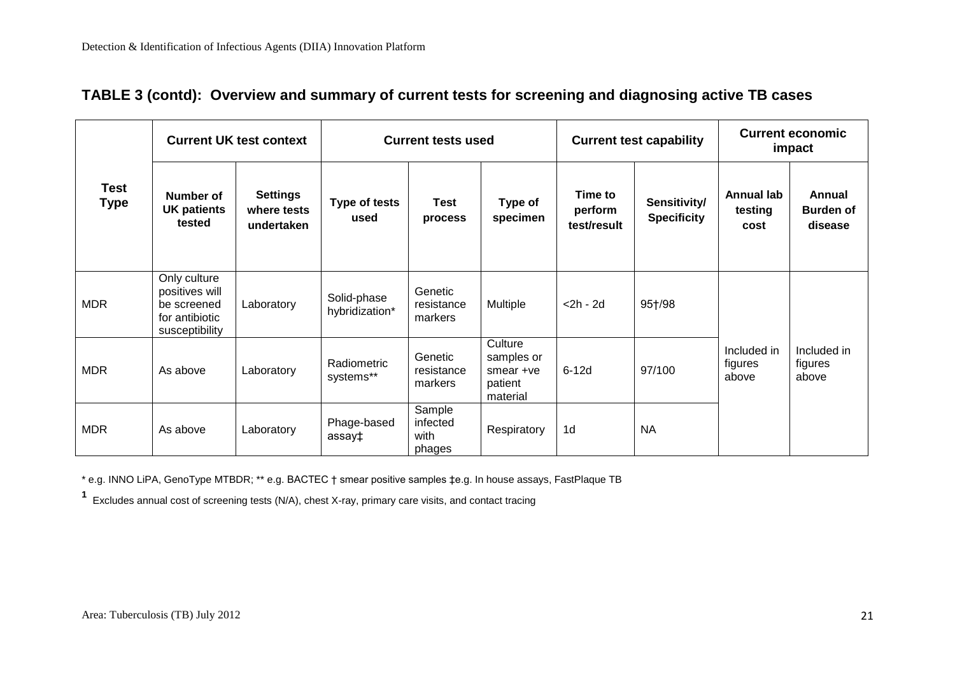| <b>Current UK test context</b> |                                                                                   | <b>Current tests used</b>                    |                               |                                      | <b>Current test capability</b>                            |                                   | <b>Current economic</b><br>impact  |                                      |                                       |
|--------------------------------|-----------------------------------------------------------------------------------|----------------------------------------------|-------------------------------|--------------------------------------|-----------------------------------------------------------|-----------------------------------|------------------------------------|--------------------------------------|---------------------------------------|
| Test<br><b>Type</b>            | Number of<br><b>UK patients</b><br>tested                                         | <b>Settings</b><br>where tests<br>undertaken | <b>Type of tests</b><br>used  | <b>Test</b><br>process               | Type of<br>specimen                                       | Time to<br>perform<br>test/result | Sensitivity/<br><b>Specificity</b> | <b>Annual lab</b><br>testing<br>cost | Annual<br><b>Burden of</b><br>disease |
| <b>MDR</b>                     | Only culture<br>positives will<br>be screened<br>for antibiotic<br>susceptibility | Laboratory                                   | Solid-phase<br>hybridization* | Genetic<br>resistance<br>markers     | Multiple                                                  | $<$ 2h - 2d                       | 95†/98                             |                                      |                                       |
| <b>MDR</b>                     | As above                                                                          | Laboratory                                   | Radiometric<br>systems**      | Genetic<br>resistance<br>markers     | Culture<br>samples or<br>smear +ve<br>patient<br>material | $6-12d$                           | 97/100                             | Included in<br>figures<br>above      | Included in<br>figures<br>above       |
| <b>MDR</b>                     | As above                                                                          | Laboratory                                   | Phage-based<br>assay‡         | Sample<br>infected<br>with<br>phages | Respiratory                                               | 1 <sub>d</sub>                    | <b>NA</b>                          |                                      |                                       |

## **TABLE 3 (contd): Overview and summary of current tests for screening and diagnosing active TB cases**

\* e.g. INNO LiPA, GenoType MTBDR; \*\* e.g. BACTEC † smear positive samples ‡e.g. In house assays, FastPlaque TB

**1** Excludes annual cost of screening tests (N/A), chest X-ray, primary care visits, and contact tracing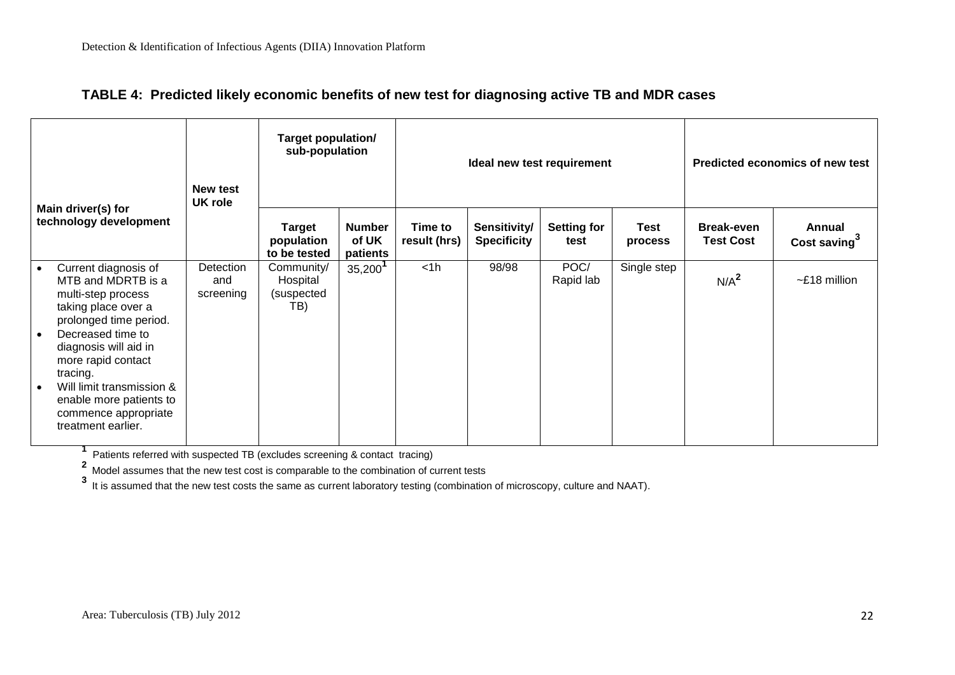| <b>Target population/</b><br>sub-population<br><b>New test</b><br>UK role                                                                                                                                                                                                                               |                               | Ideal new test requirement                  |                                    |                         |                                    | Predicted economics of new test |                 |                                       |                                           |
|---------------------------------------------------------------------------------------------------------------------------------------------------------------------------------------------------------------------------------------------------------------------------------------------------------|-------------------------------|---------------------------------------------|------------------------------------|-------------------------|------------------------------------|---------------------------------|-----------------|---------------------------------------|-------------------------------------------|
| Main driver(s) for<br>technology development                                                                                                                                                                                                                                                            |                               | <b>Target</b><br>population<br>to be tested | <b>Number</b><br>of UK<br>patients | Time to<br>result (hrs) | Sensitivity/<br><b>Specificity</b> | Setting for<br>test             | Test<br>process | <b>Break-even</b><br><b>Test Cost</b> | <b>Annual</b><br>Cost saving <sup>3</sup> |
| Current diagnosis of<br>MTB and MDRTB is a<br>multi-step process<br>taking place over a<br>prolonged time period.<br>Decreased time to<br>diagnosis will aid in<br>more rapid contact<br>tracing.<br>Will limit transmission &<br>enable more patients to<br>commence appropriate<br>treatment earlier. | Detection<br>and<br>screening | Community/<br>Hospital<br>(suspected<br>TB) | $35,200^1$                         | $<$ 1h                  | 98/98                              | POC/<br>Rapid lab               | Single step     | N/A <sup>2</sup>                      | $\sim$ £18 million                        |

## **TABLE 4: Predicted likely economic benefits of new test for diagnosing active TB and MDR cases**

**1** Patients referred with suspected TB (excludes screening & contact tracing)

**<sup>2</sup>** Model assumes that the new test cost is comparable to the combination of current tests

**3** It is assumed that the new test costs the same as current laboratory testing (combination of microscopy, culture and NAAT).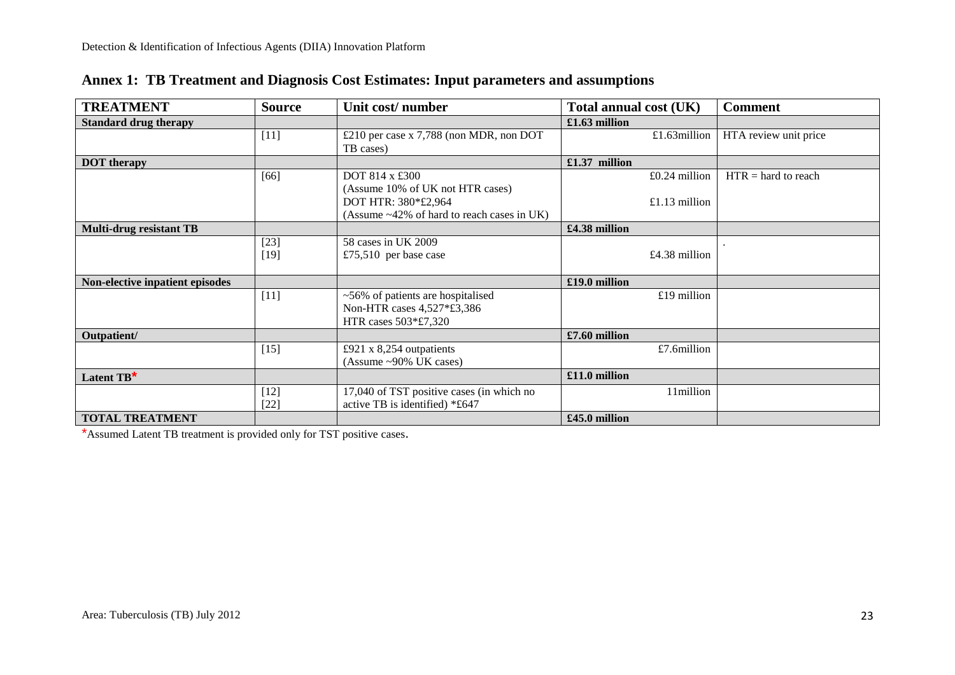| <b>TREATMENT</b>                | <b>Source</b>    | Unit cost/number                                                                                      | Total annual cost (UK) | <b>Comment</b>        |
|---------------------------------|------------------|-------------------------------------------------------------------------------------------------------|------------------------|-----------------------|
| <b>Standard drug therapy</b>    |                  |                                                                                                       | £1.63 million          |                       |
|                                 | $[11]$           | £210 per case x 7,788 (non MDR, non DOT<br>TB cases)                                                  | £1.63 $m$ illion       | HTA review unit price |
| <b>DOT</b> therapy              |                  |                                                                                                       | £1.37 million          |                       |
|                                 | [66]             | DOT 814 x £300                                                                                        | $£0.24$ million        | $HTR = hard to reach$ |
|                                 |                  | (Assume 10% of UK not HTR cases)<br>DOT HTR: 380*£2,964<br>(Assume ~42% of hard to reach cases in UK) | £1.13 million          |                       |
| <b>Multi-drug resistant TB</b>  |                  |                                                                                                       | £4.38 million          |                       |
|                                 | $[23]$<br>$[19]$ | 58 cases in UK 2009<br>£75,510 per base case                                                          | £4.38 million          |                       |
| Non-elective inpatient episodes |                  |                                                                                                       | £19.0 million          |                       |
|                                 | $[11]$           | $~56\%$ of patients are hospitalised<br>Non-HTR cases 4,527*£3,386<br>HTR cases 503*£7,320            | $£19$ million          |                       |
| Outpatient/                     |                  |                                                                                                       | £7.60 million          |                       |
|                                 | $[15]$           | £921 x 8,254 outpatients<br>(Assume ~90% UK cases)                                                    | £7.6million            |                       |
| Latent TB*                      |                  |                                                                                                       | £11.0 million          |                       |
|                                 | $[12]$<br>$[22]$ | 17,040 of TST positive cases (in which no<br>active TB is identified) *£647                           | 11million              |                       |
| <b>TOTAL TREATMENT</b>          |                  |                                                                                                       | £45.0 million          |                       |

|  | Annex 1: TB Treatment and Diagnosis Cost Estimates: Input parameters and assumptions |
|--|--------------------------------------------------------------------------------------|
|--|--------------------------------------------------------------------------------------|

\*Assumed Latent TB treatment is provided only for TST positive cases.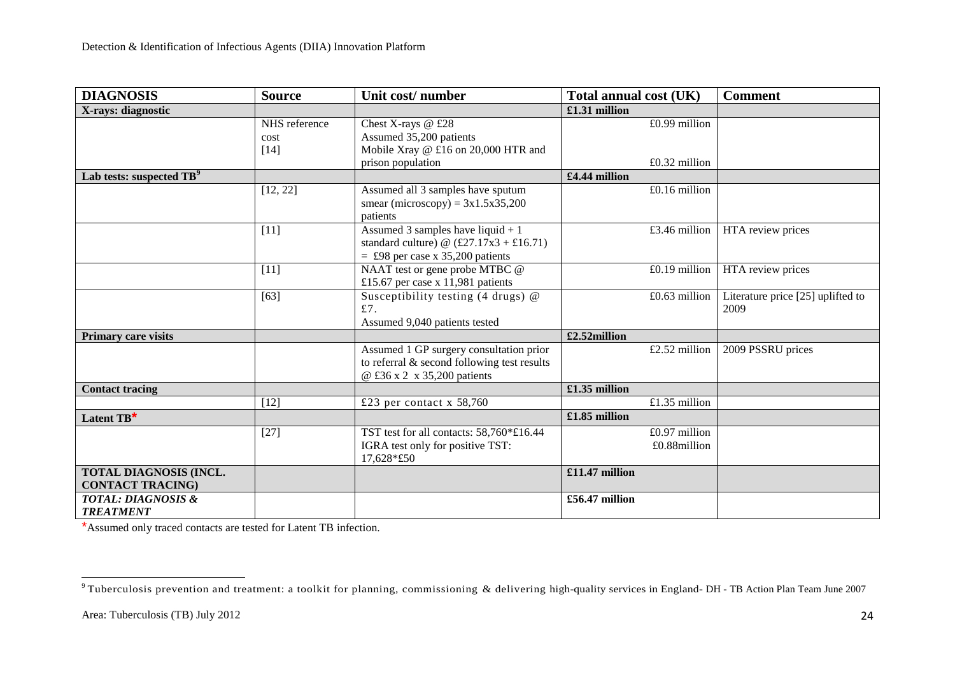| <b>DIAGNOSIS</b>                                  | <b>Source</b>                   | Unit cost/number                                                                                                                                | Total annual cost (UK)        | <b>Comment</b>                            |
|---------------------------------------------------|---------------------------------|-------------------------------------------------------------------------------------------------------------------------------------------------|-------------------------------|-------------------------------------------|
| X-rays: diagnostic                                |                                 |                                                                                                                                                 | £1.31 million                 |                                           |
|                                                   | NHS reference<br>cost<br>$[14]$ | Chest X-rays @ £28<br>Assumed 35,200 patients<br>Mobile Xray @ £16 on 20,000 HTR and                                                            | £0.99 million                 |                                           |
|                                                   |                                 | prison population                                                                                                                               | $£0.32$ million               |                                           |
| Lab tests: suspected TB <sup>9</sup>              |                                 |                                                                                                                                                 | £4.44 million                 |                                           |
|                                                   | [12, 22]                        | Assumed all 3 samples have sputum<br>smear (microscopy) = $3x1.5x35,200$<br>patients                                                            | $£0.16$ million               |                                           |
|                                                   | $[11]$                          | Assumed 3 samples have liquid $+1$<br>standard culture) @ $(\text{\pounds}27.17x3 + \text{\pounds}16.71)$<br>$=$ £98 per case x 35,200 patients | £3.46 million                 | HTA review prices                         |
|                                                   | $[11]$                          | NAAT test or gene probe MTBC @<br>£15.67 per case $x$ 11,981 patients                                                                           | £0.19 million                 | HTA review prices                         |
|                                                   | [63]                            | Susceptibility testing $(4 \text{ drugs})$ @<br>£7.<br>Assumed 9,040 patients tested                                                            | £0.63 million                 | Literature price [25] uplifted to<br>2009 |
| <b>Primary care visits</b>                        |                                 |                                                                                                                                                 | £2.52million                  |                                           |
|                                                   |                                 | Assumed 1 GP surgery consultation prior<br>to referral & second following test results<br>@ £36 x 2 x 35,200 patients                           | £2.52 million                 | 2009 PSSRU prices                         |
| <b>Contact tracing</b>                            |                                 |                                                                                                                                                 | £1.35 million                 |                                           |
|                                                   | $[12]$                          | £23 per contact $x$ 58,760                                                                                                                      | £1.35 million                 |                                           |
| Latent TB*                                        |                                 |                                                                                                                                                 | £1.85 million                 |                                           |
|                                                   | $[27]$                          | TST test for all contacts: 58,760*£16.44<br>IGRA test only for positive TST:<br>17,628*£50                                                      | £0.97 million<br>£0.88million |                                           |
| TOTAL DIAGNOSIS (INCL.<br><b>CONTACT TRACING)</b> |                                 |                                                                                                                                                 | £11.47 million                |                                           |
| <b>TOTAL: DIAGNOSIS &amp;</b><br><b>TREATMENT</b> |                                 |                                                                                                                                                 | $£56.47$ million              |                                           |

\*Assumed only traced contacts are tested for Latent TB infection.

 $\overline{a}$ 

 $^9$ Tuberculosis prevention and treatment: a toolkit for planning, commissioning & delivering high-quality services in England- DH - TB Action Plan Team June 2007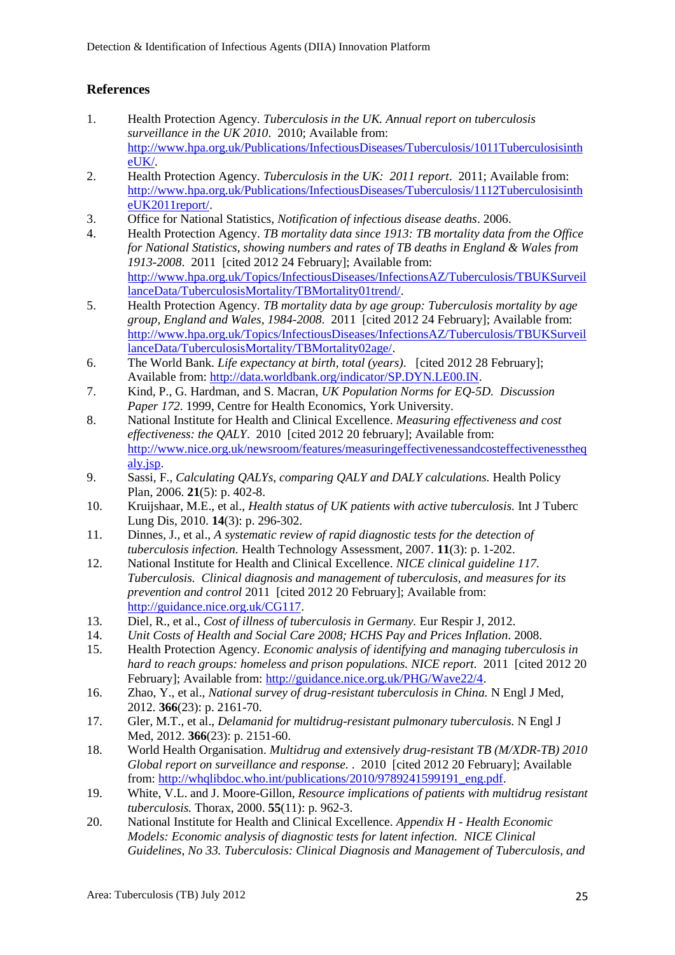## **References**

- <span id="page-25-0"></span>1. Health Protection Agency. *Tuberculosis in the UK. Annual report on tuberculosis surveillance in the UK 2010*. 2010; Available from: [http://www.hpa.org.uk/Publications/InfectiousDiseases/Tuberculosis/1011Tuberculosisinth](http://www.hpa.org.uk/Publications/InfectiousDiseases/Tuberculosis/1011TuberculosisintheUK/) [eUK/.](http://www.hpa.org.uk/Publications/InfectiousDiseases/Tuberculosis/1011TuberculosisintheUK/)
- <span id="page-25-1"></span>2. Health Protection Agency. *Tuberculosis in the UK: 2011 report*. 2011; Available from: [http://www.hpa.org.uk/Publications/InfectiousDiseases/Tuberculosis/1112Tuberculosisinth](http://www.hpa.org.uk/Publications/InfectiousDiseases/Tuberculosis/1112TuberculosisintheUK2011report/) [eUK2011report/.](http://www.hpa.org.uk/Publications/InfectiousDiseases/Tuberculosis/1112TuberculosisintheUK2011report/)
- <span id="page-25-2"></span>3. Office for National Statistics, *Notification of infectious disease deaths*. 2006.
- <span id="page-25-20"></span><span id="page-25-3"></span>4. Health Protection Agency. *TB mortality data since 1913: TB mortality data from the Office for National Statistics, showing numbers and rates of TB deaths in England & Wales from 1913-2008*. 2011 [cited 2012 24 February]; Available from: [http://www.hpa.org.uk/Topics/InfectiousDiseases/InfectionsAZ/Tuberculosis/TBUKSurveil](http://www.hpa.org.uk/Topics/InfectiousDiseases/InfectionsAZ/Tuberculosis/TBUKSurveillanceData/TuberculosisMortality/TBMortality01trend/) [lanceData/TuberculosisMortality/TBMortality01trend/.](http://www.hpa.org.uk/Topics/InfectiousDiseases/InfectionsAZ/Tuberculosis/TBUKSurveillanceData/TuberculosisMortality/TBMortality01trend/)
- <span id="page-25-23"></span><span id="page-25-4"></span>5. Health Protection Agency. *TB mortality data by age group: Tuberculosis mortality by age group, England and Wales, 1984-2008*. 2011 [cited 2012 24 February]; Available from: [http://www.hpa.org.uk/Topics/InfectiousDiseases/InfectionsAZ/Tuberculosis/TBUKSurveil](http://www.hpa.org.uk/Topics/InfectiousDiseases/InfectionsAZ/Tuberculosis/TBUKSurveillanceData/TuberculosisMortality/TBMortality02age/) [lanceData/TuberculosisMortality/TBMortality02age/.](http://www.hpa.org.uk/Topics/InfectiousDiseases/InfectionsAZ/Tuberculosis/TBUKSurveillanceData/TuberculosisMortality/TBMortality02age/)
- <span id="page-25-22"></span><span id="page-25-5"></span>6. The World Bank. *Life expectancy at birth, total (years)*. [cited 2012 28 February]; Available from: [http://data.worldbank.org/indicator/SP.DYN.LE00.IN.](http://data.worldbank.org/indicator/SP.DYN.LE00.IN)
- <span id="page-25-6"></span>7. Kind, P., G. Hardman, and S. Macran, *UK Population Norms for EQ-5D. Discussion Paper 172*. 1999, Centre for Health Economics, York University.
- <span id="page-25-7"></span>8. National Institute for Health and Clinical Excellence. *Measuring effectiveness and cost effectiveness: the QALY*. 2010 [cited 2012 20 february]; Available from: [http://www.nice.org.uk/newsroom/features/measuringeffectivenessandcosteffectivenesstheq](http://www.nice.org.uk/newsroom/features/measuringeffectivenessandcosteffectivenesstheqaly.jsp) [aly.jsp.](http://www.nice.org.uk/newsroom/features/measuringeffectivenessandcosteffectivenesstheqaly.jsp)
- <span id="page-25-8"></span>9. Sassi, F., *Calculating QALYs, comparing QALY and DALY calculations.* Health Policy Plan, 2006. **21**(5): p. 402-8.
- <span id="page-25-21"></span><span id="page-25-9"></span>10. Kruijshaar, M.E., et al., *Health status of UK patients with active tuberculosis.* Int J Tuberc Lung Dis, 2010. **14**(3): p. 296-302.
- <span id="page-25-10"></span>11. Dinnes, J., et al., *A systematic review of rapid diagnostic tests for the detection of tuberculosis infection.* Health Technology Assessment, 2007. **11**(3): p. 1-202.
- <span id="page-25-11"></span>12. National Institute for Health and Clinical Excellence. *NICE clinical guideline 117. Tuberculosis. Clinical diagnosis and management of tuberculosis, and measures for its prevention and control* 2011 [cited 2012 20 February]; Available from: [http://guidance.nice.org.uk/CG117.](http://guidance.nice.org.uk/CG117)
- <span id="page-25-12"></span>13. Diel, R., et al., *Cost of illness of tuberculosis in Germany.* Eur Respir J, 2012.
- <span id="page-25-13"></span>14. *Unit Costs of Health and Social Care 2008; HCHS Pay and Prices Inflation*. 2008.
- <span id="page-25-14"></span>15. Health Protection Agency. *Economic analysis of identifying and managing tuberculosis in hard to reach groups: homeless and prison populations. NICE report.* 2011 [cited 2012 20 February]; Available from: [http://guidance.nice.org.uk/PHG/Wave22/4.](http://guidance.nice.org.uk/PHG/Wave22/4)
- <span id="page-25-15"></span>16. Zhao, Y., et al., *National survey of drug-resistant tuberculosis in China.* N Engl J Med, 2012. **366**(23): p. 2161-70.
- <span id="page-25-16"></span>17. Gler, M.T., et al., *Delamanid for multidrug-resistant pulmonary tuberculosis.* N Engl J Med, 2012. **366**(23): p. 2151-60.
- <span id="page-25-17"></span>18. World Health Organisation. *Multidrug and extensively drug-resistant TB (M/XDR-TB) 2010 Global report on surveillance and response.* . 2010 [cited 2012 20 February]; Available from: [http://whqlibdoc.who.int/publications/2010/9789241599191\\_eng.pdf.](http://whqlibdoc.who.int/publications/2010/9789241599191_eng.pdf)
- <span id="page-25-18"></span>19. White, V.L. and J. Moore-Gillon, *Resource implications of patients with multidrug resistant tuberculosis.* Thorax, 2000. **55**(11): p. 962-3.
- <span id="page-25-19"></span>20. National Institute for Health and Clinical Excellence. *Appendix H - Health Economic Models: Economic analysis of diagnostic tests for latent infection. NICE Clinical Guidelines, No 33. Tuberculosis: Clinical Diagnosis and Management of Tuberculosis, and*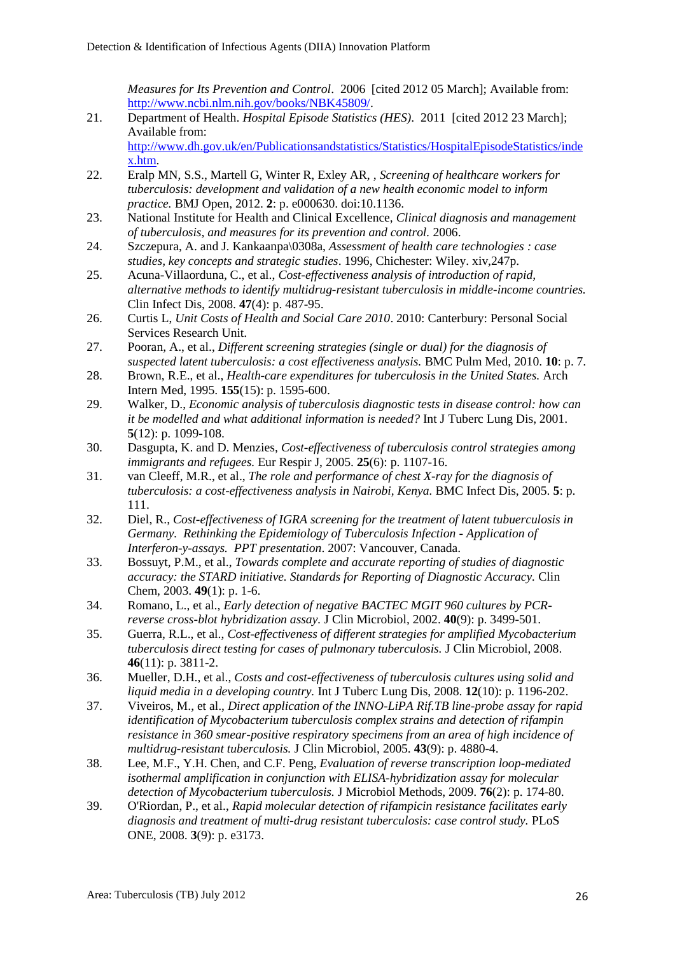<span id="page-26-22"></span><span id="page-26-21"></span><span id="page-26-20"></span><span id="page-26-19"></span>*Measures for Its Prevention and Control*. 2006 [cited 2012 05 March]; Available from: [http://www.ncbi.nlm.nih.gov/books/NBK45809/.](http://www.ncbi.nlm.nih.gov/books/NBK45809/)

- <span id="page-26-0"></span>21. Department of Health. *Hospital Episode Statistics (HES)*. 2011 [cited 2012 23 March]; Available from: [http://www.dh.gov.uk/en/Publicationsandstatistics/Statistics/HospitalEpisodeStatistics/inde](http://www.dh.gov.uk/en/Publicationsandstatistics/Statistics/HospitalEpisodeStatistics/index.htm) [x.htm.](http://www.dh.gov.uk/en/Publicationsandstatistics/Statistics/HospitalEpisodeStatistics/index.htm)
- <span id="page-26-1"></span>22. Eralp MN, S.S., Martell G, Winter R, Exley AR, , *Screening of healthcare workers for tuberculosis: development and validation of a new health economic model to inform practice.* BMJ Open, 2012. **2**: p. e000630. doi:10.1136.
- <span id="page-26-2"></span>23. National Institute for Health and Clinical Excellence, *Clinical diagnosis and management of tuberculosis, and measures for its prevention and control.* 2006.
- <span id="page-26-3"></span>24. Szczepura, A. and J. Kankaanpa\0308a, *Assessment of health care technologies : case studies, key concepts and strategic studies*. 1996, Chichester: Wiley. xiv,247p.
- <span id="page-26-4"></span>25. Acuna-Villaorduna, C., et al., *Cost-effectiveness analysis of introduction of rapid, alternative methods to identify multidrug-resistant tuberculosis in middle-income countries.* Clin Infect Dis, 2008. **47**(4): p. 487-95.
- <span id="page-26-5"></span>26. Curtis L, *Unit Costs of Health and Social Care 2010*. 2010: Canterbury: Personal Social Services Research Unit.
- <span id="page-26-6"></span>27. Pooran, A., et al., *Different screening strategies (single or dual) for the diagnosis of suspected latent tuberculosis: a cost effectiveness analysis.* BMC Pulm Med, 2010. **10**: p. 7.
- <span id="page-26-7"></span>28. Brown, R.E., et al., *Health-care expenditures for tuberculosis in the United States.* Arch Intern Med, 1995. **155**(15): p. 1595-600.
- <span id="page-26-8"></span>29. Walker, D., *Economic analysis of tuberculosis diagnostic tests in disease control: how can it be modelled and what additional information is needed?* Int J Tuberc Lung Dis, 2001. **5**(12): p. 1099-108.
- <span id="page-26-9"></span>30. Dasgupta, K. and D. Menzies, *Cost-effectiveness of tuberculosis control strategies among immigrants and refugees.* Eur Respir J, 2005. **25**(6): p. 1107-16.
- <span id="page-26-10"></span>31. van Cleeff, M.R., et al., *The role and performance of chest X-ray for the diagnosis of tuberculosis: a cost-effectiveness analysis in Nairobi, Kenya.* BMC Infect Dis, 2005. **5**: p. 111.
- <span id="page-26-11"></span>32. Diel, R., *Cost-effectiveness of IGRA screening for the treatment of latent tubuerculosis in Germany. Rethinking the Epidemiology of Tuberculosis Infection - Application of Interferon-y-assays. PPT presentation*. 2007: Vancouver, Canada.
- <span id="page-26-12"></span>33. Bossuyt, P.M., et al., *Towards complete and accurate reporting of studies of diagnostic accuracy: the STARD initiative. Standards for Reporting of Diagnostic Accuracy.* Clin Chem, 2003. **49**(1): p. 1-6.
- <span id="page-26-13"></span>34. Romano, L., et al., *Early detection of negative BACTEC MGIT 960 cultures by PCRreverse cross-blot hybridization assay.* J Clin Microbiol, 2002. **40**(9): p. 3499-501.
- <span id="page-26-14"></span>35. Guerra, R.L., et al., *Cost-effectiveness of different strategies for amplified Mycobacterium tuberculosis direct testing for cases of pulmonary tuberculosis.* J Clin Microbiol, 2008. **46**(11): p. 3811-2.
- <span id="page-26-15"></span>36. Mueller, D.H., et al., *Costs and cost-effectiveness of tuberculosis cultures using solid and liquid media in a developing country.* Int J Tuberc Lung Dis, 2008. **12**(10): p. 1196-202.
- <span id="page-26-16"></span>37. Viveiros, M., et al., *Direct application of the INNO-LiPA Rif.TB line-probe assay for rapid identification of Mycobacterium tuberculosis complex strains and detection of rifampin resistance in 360 smear-positive respiratory specimens from an area of high incidence of multidrug-resistant tuberculosis.* J Clin Microbiol, 2005. **43**(9): p. 4880-4.
- <span id="page-26-17"></span>38. Lee, M.F., Y.H. Chen, and C.F. Peng, *Evaluation of reverse transcription loop-mediated isothermal amplification in conjunction with ELISA-hybridization assay for molecular detection of Mycobacterium tuberculosis.* J Microbiol Methods, 2009. **76**(2): p. 174-80.
- <span id="page-26-18"></span>39. O'Riordan, P., et al., *Rapid molecular detection of rifampicin resistance facilitates early diagnosis and treatment of multi-drug resistant tuberculosis: case control study.* PLoS ONE, 2008. **3**(9): p. e3173.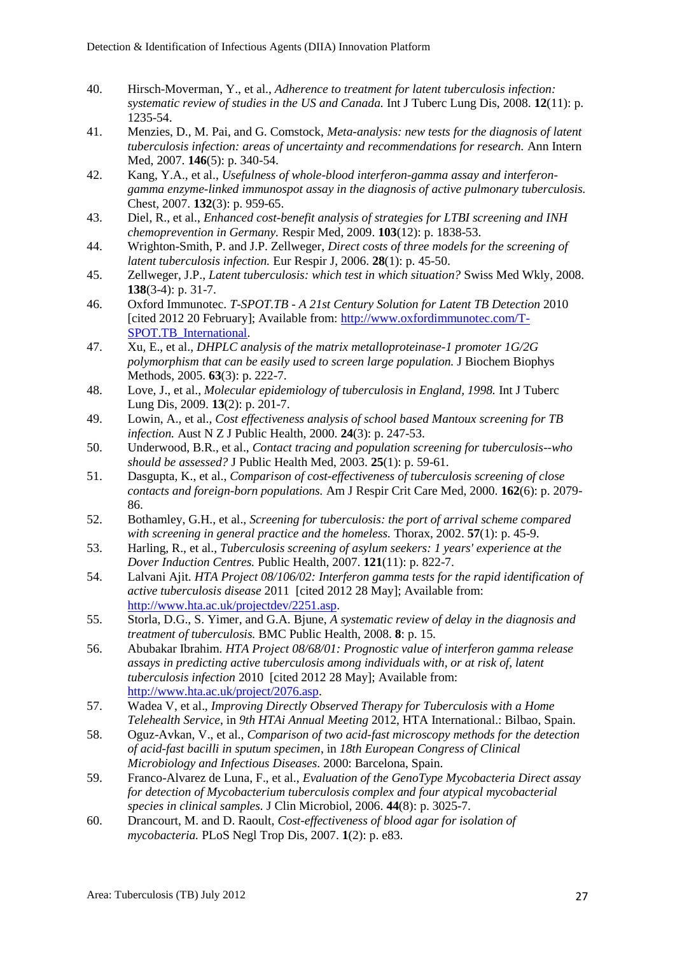- <span id="page-27-0"></span>40. Hirsch-Moverman, Y., et al., *Adherence to treatment for latent tuberculosis infection: systematic review of studies in the US and Canada.* Int J Tuberc Lung Dis, 2008. **12**(11): p. 1235-54.
- <span id="page-27-1"></span>41. Menzies, D., M. Pai, and G. Comstock, *Meta-analysis: new tests for the diagnosis of latent tuberculosis infection: areas of uncertainty and recommendations for research.* Ann Intern Med, 2007. **146**(5): p. 340-54.
- <span id="page-27-2"></span>42. Kang, Y.A., et al., *Usefulness of whole-blood interferon-gamma assay and interferongamma enzyme-linked immunospot assay in the diagnosis of active pulmonary tuberculosis.* Chest, 2007. **132**(3): p. 959-65.
- <span id="page-27-3"></span>43. Diel, R., et al., *Enhanced cost-benefit analysis of strategies for LTBI screening and INH chemoprevention in Germany.* Respir Med, 2009. **103**(12): p. 1838-53.
- <span id="page-27-4"></span>44. Wrighton-Smith, P. and J.P. Zellweger, *Direct costs of three models for the screening of latent tuberculosis infection.* Eur Respir J, 2006. **28**(1): p. 45-50.
- <span id="page-27-5"></span>45. Zellweger, J.P., *Latent tuberculosis: which test in which situation?* Swiss Med Wkly, 2008. **138**(3-4): p. 31-7.
- <span id="page-27-6"></span>46. Oxford Immunotec. *T-SPOT.TB - A 21st Century Solution for Latent TB Detection* 2010 [cited 2012 20 February]; Available from: [http://www.oxfordimmunotec.com/T-](http://www.oxfordimmunotec.com/T-SPOT.TB_International)[SPOT.TB\\_International.](http://www.oxfordimmunotec.com/T-SPOT.TB_International)
- <span id="page-27-7"></span>47. Xu, E., et al., *DHPLC analysis of the matrix metalloproteinase-1 promoter 1G/2G polymorphism that can be easily used to screen large population.* J Biochem Biophys Methods, 2005. **63**(3): p. 222-7.
- <span id="page-27-8"></span>48. Love, J., et al., *Molecular epidemiology of tuberculosis in England, 1998.* Int J Tuberc Lung Dis, 2009. **13**(2): p. 201-7.
- <span id="page-27-9"></span>49. Lowin, A., et al., *Cost effectiveness analysis of school based Mantoux screening for TB infection.* Aust N Z J Public Health, 2000. **24**(3): p. 247-53.
- <span id="page-27-10"></span>50. Underwood, B.R., et al., *Contact tracing and population screening for tuberculosis--who should be assessed?* J Public Health Med, 2003. **25**(1): p. 59-61.
- <span id="page-27-11"></span>51. Dasgupta, K., et al., *Comparison of cost-effectiveness of tuberculosis screening of close contacts and foreign-born populations.* Am J Respir Crit Care Med, 2000. **162**(6): p. 2079- 86.
- <span id="page-27-12"></span>52. Bothamley, G.H., et al., *Screening for tuberculosis: the port of arrival scheme compared with screening in general practice and the homeless.* Thorax, 2002. **57**(1): p. 45-9.
- <span id="page-27-13"></span>53. Harling, R., et al., *Tuberculosis screening of asylum seekers: 1 years' experience at the Dover Induction Centres.* Public Health, 2007. **121**(11): p. 822-7.
- <span id="page-27-14"></span>54. Lalvani Ajit. *HTA Project 08/106/02: Interferon gamma tests for the rapid identification of active tuberculosis disease* 2011 [cited 2012 28 May]; Available from: [http://www.hta.ac.uk/projectdev/2251.asp.](http://www.hta.ac.uk/projectdev/2251.asp)
- <span id="page-27-15"></span>55. Storla, D.G., S. Yimer, and G.A. Bjune, *A systematic review of delay in the diagnosis and treatment of tuberculosis.* BMC Public Health, 2008. **8**: p. 15.
- <span id="page-27-16"></span>56. Abubakar Ibrahim. *HTA Project 08/68/01: Prognostic value of interferon gamma release assays in predicting active tuberculosis among individuals with, or at risk of, latent tuberculosis infection* 2010 [cited 2012 28 May]; Available from: [http://www.hta.ac.uk/project/2076.asp.](http://www.hta.ac.uk/project/2076.asp)
- <span id="page-27-17"></span>57. Wadea V, et al., *Improving Directly Observed Therapy for Tuberculosis with a Home Telehealth Service*, in *9th HTAi Annual Meeting* 2012, HTA International.: Bilbao, Spain.
- <span id="page-27-18"></span>58. Oguz-Avkan, V., et al., *Comparison of two acid-fast microscopy methods for the detection of acid-fast bacilli in sputum specimen*, in *18th European Congress of Clinical Microbiology and Infectious Diseases*. 2000: Barcelona, Spain.
- <span id="page-27-19"></span>59. Franco-Alvarez de Luna, F., et al., *Evaluation of the GenoType Mycobacteria Direct assay for detection of Mycobacterium tuberculosis complex and four atypical mycobacterial species in clinical samples.* J Clin Microbiol, 2006. **44**(8): p. 3025-7.
- <span id="page-27-20"></span>60. Drancourt, M. and D. Raoult, *Cost-effectiveness of blood agar for isolation of mycobacteria.* PLoS Negl Trop Dis, 2007. **1**(2): p. e83.